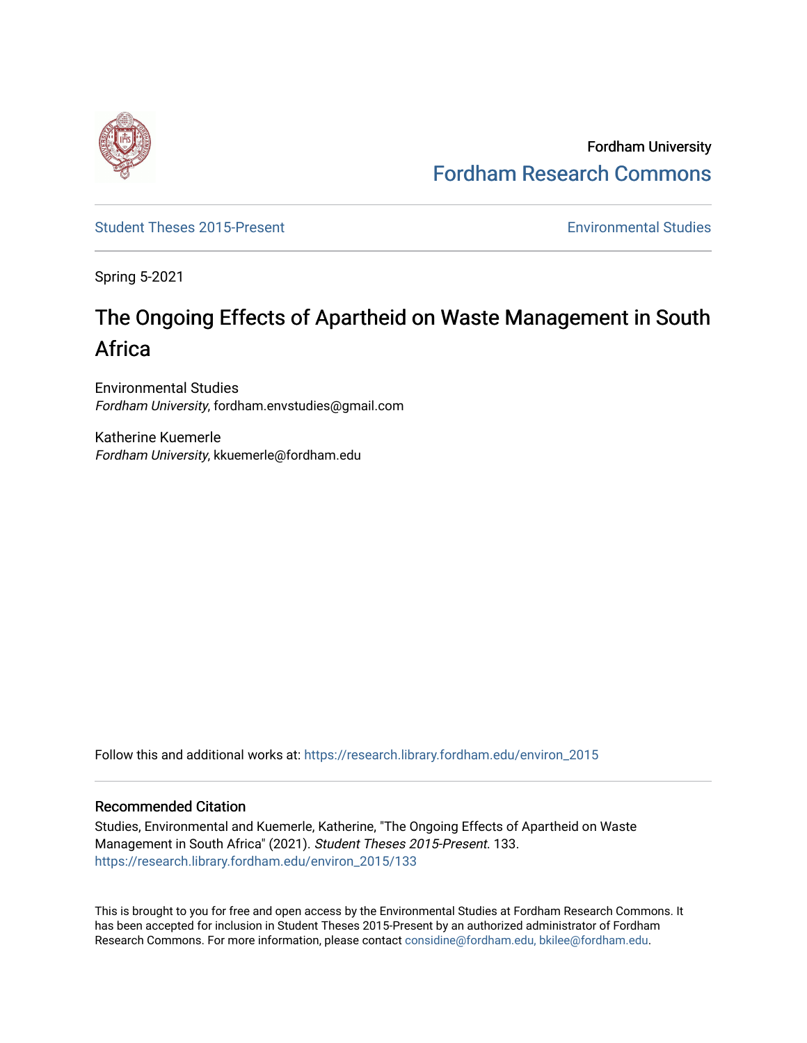

Fordham University [Fordham Research Commons](https://research.library.fordham.edu/) 

[Student Theses 2015-Present](https://research.library.fordham.edu/environ_2015) **Environmental Studies** Environmental Studies

Spring 5-2021

# The Ongoing Effects of Apartheid on Waste Management in South Africa

Environmental Studies Fordham University, fordham.envstudies@gmail.com

Katherine Kuemerle Fordham University, kkuemerle@fordham.edu

Follow this and additional works at: [https://research.library.fordham.edu/environ\\_2015](https://research.library.fordham.edu/environ_2015?utm_source=research.library.fordham.edu%2Fenviron_2015%2F133&utm_medium=PDF&utm_campaign=PDFCoverPages)

## Recommended Citation

Studies, Environmental and Kuemerle, Katherine, "The Ongoing Effects of Apartheid on Waste Management in South Africa" (2021). Student Theses 2015-Present. 133. [https://research.library.fordham.edu/environ\\_2015/133](https://research.library.fordham.edu/environ_2015/133?utm_source=research.library.fordham.edu%2Fenviron_2015%2F133&utm_medium=PDF&utm_campaign=PDFCoverPages)

This is brought to you for free and open access by the Environmental Studies at Fordham Research Commons. It has been accepted for inclusion in Student Theses 2015-Present by an authorized administrator of Fordham Research Commons. For more information, please contact [considine@fordham.edu, bkilee@fordham.edu](mailto:considine@fordham.edu,%20bkilee@fordham.edu).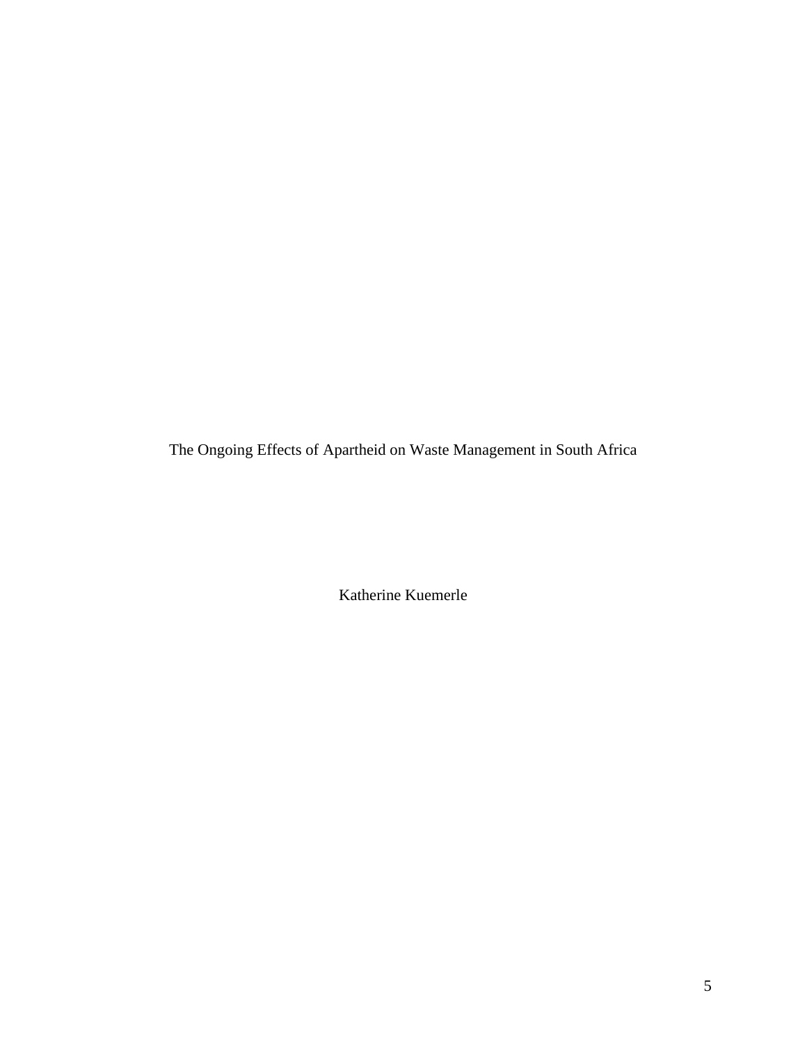The Ongoing Effects of Apartheid on Waste Management in South Africa

Katherine Kuemerle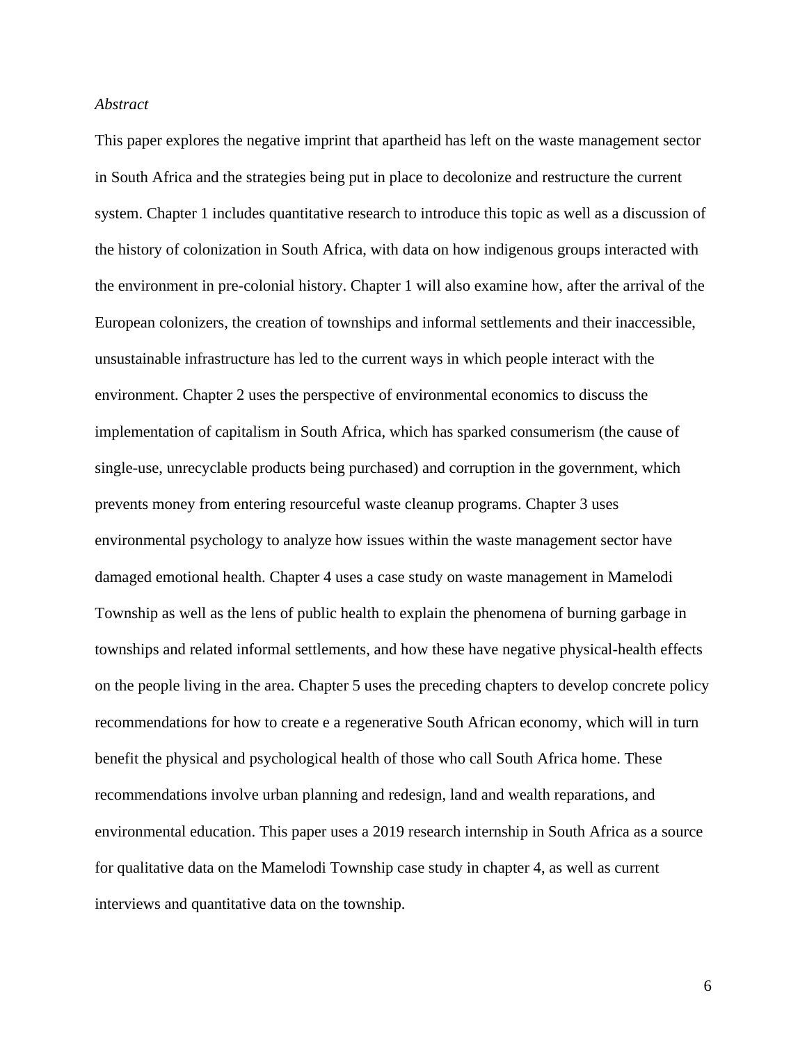## *Abstract*

This paper explores the negative imprint that apartheid has left on the waste management sector in South Africa and the strategies being put in place to decolonize and restructure the current system. Chapter 1 includes quantitative research to introduce this topic as well as a discussion of the history of colonization in South Africa, with data on how indigenous groups interacted with the environment in pre-colonial history. Chapter 1 will also examine how, after the arrival of the European colonizers, the creation of townships and informal settlements and their inaccessible, unsustainable infrastructure has led to the current ways in which people interact with the environment. Chapter 2 uses the perspective of environmental economics to discuss the implementation of capitalism in South Africa, which has sparked consumerism (the cause of single-use, unrecyclable products being purchased) and corruption in the government, which prevents money from entering resourceful waste cleanup programs. Chapter 3 uses environmental psychology to analyze how issues within the waste management sector have damaged emotional health. Chapter 4 uses a case study on waste management in Mamelodi Township as well as the lens of public health to explain the phenomena of burning garbage in townships and related informal settlements, and how these have negative physical-health effects on the people living in the area. Chapter 5 uses the preceding chapters to develop concrete policy recommendations for how to create e a regenerative South African economy, which will in turn benefit the physical and psychological health of those who call South Africa home. These recommendations involve urban planning and redesign, land and wealth reparations, and environmental education. This paper uses a 2019 research internship in South Africa as a source for qualitative data on the Mamelodi Township case study in chapter 4, as well as current interviews and quantitative data on the township.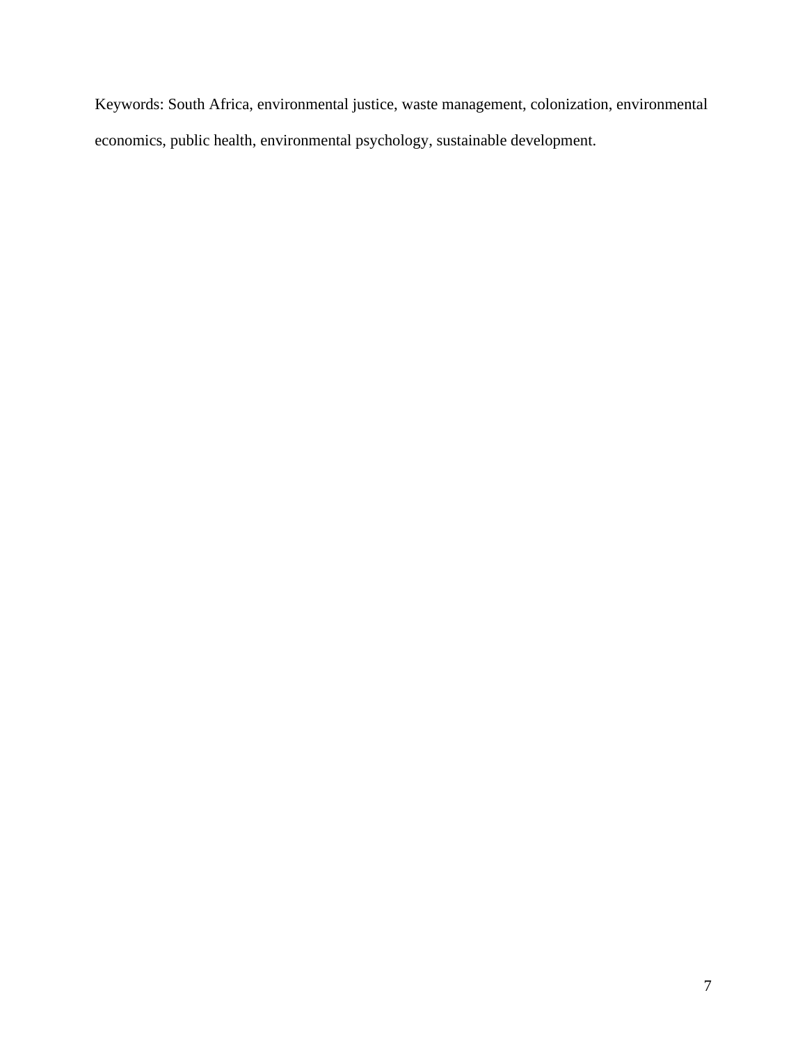Keywords: South Africa, environmental justice, waste management, colonization, environmental economics, public health, environmental psychology, sustainable development.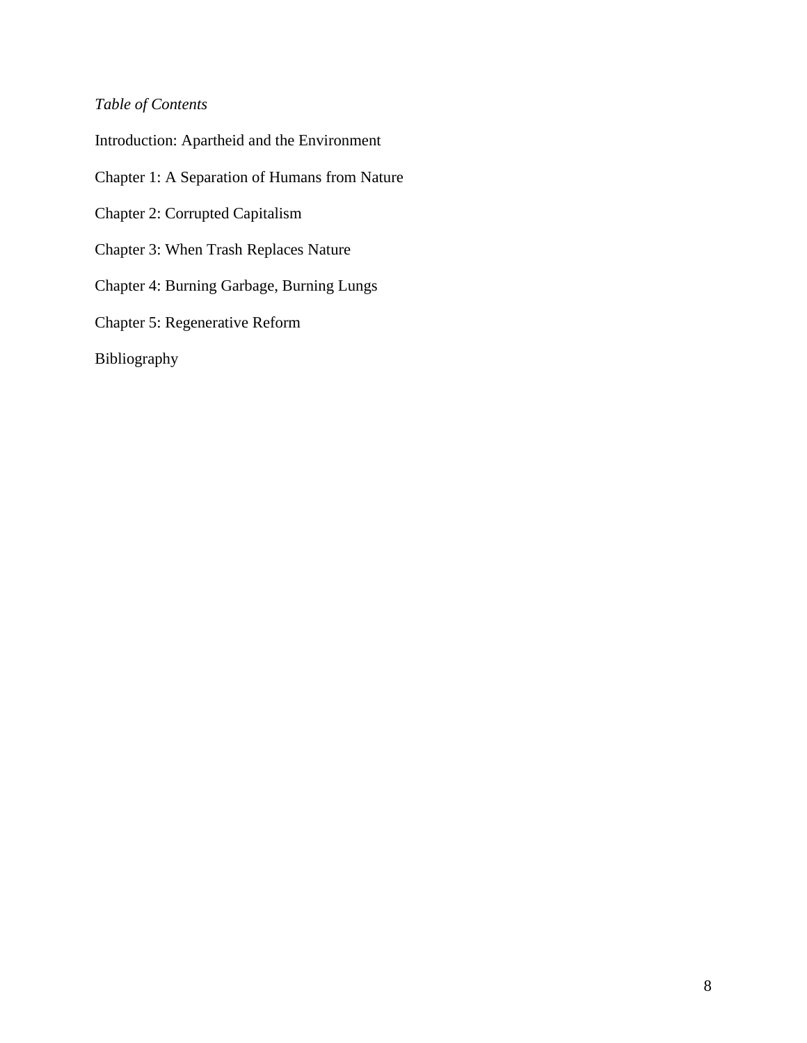## *Table of Contents*

Introduction: Apartheid and the Environment Chapter 1: A Separation of Humans from Nature Chapter 2: Corrupted Capitalism Chapter 3: When Trash Replaces Nature Chapter 4: Burning Garbage, Burning Lungs Chapter 5: Regenerative Reform Bibliography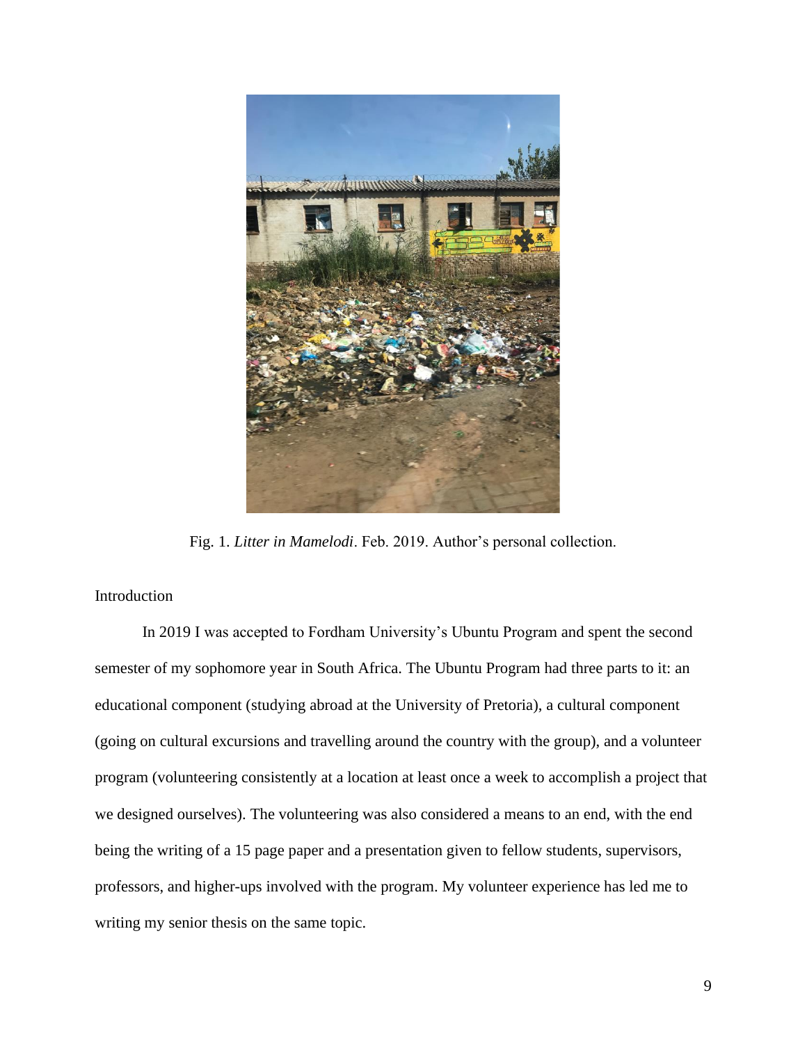

Fig. 1. *Litter in Mamelodi*. Feb. 2019. Author's personal collection.

## Introduction

In 2019 I was accepted to Fordham University's Ubuntu Program and spent the second semester of my sophomore year in South Africa. The Ubuntu Program had three parts to it: an educational component (studying abroad at the University of Pretoria), a cultural component (going on cultural excursions and travelling around the country with the group), and a volunteer program (volunteering consistently at a location at least once a week to accomplish a project that we designed ourselves). The volunteering was also considered a means to an end, with the end being the writing of a 15 page paper and a presentation given to fellow students, supervisors, professors, and higher-ups involved with the program. My volunteer experience has led me to writing my senior thesis on the same topic.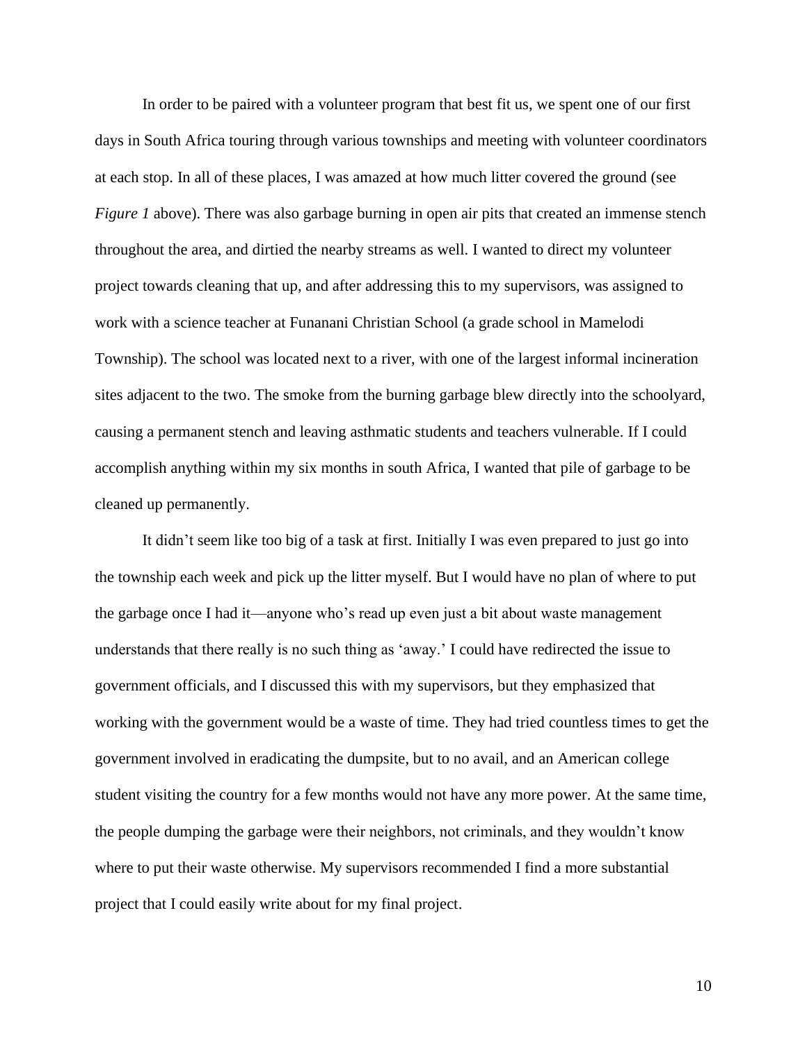In order to be paired with a volunteer program that best fit us, we spent one of our first days in South Africa touring through various townships and meeting with volunteer coordinators at each stop. In all of these places, I was amazed at how much litter covered the ground (see *Figure 1* above). There was also garbage burning in open air pits that created an immense stench throughout the area, and dirtied the nearby streams as well. I wanted to direct my volunteer project towards cleaning that up, and after addressing this to my supervisors, was assigned to work with a science teacher at Funanani Christian School (a grade school in Mamelodi Township). The school was located next to a river, with one of the largest informal incineration sites adjacent to the two. The smoke from the burning garbage blew directly into the schoolyard, causing a permanent stench and leaving asthmatic students and teachers vulnerable. If I could accomplish anything within my six months in south Africa, I wanted that pile of garbage to be cleaned up permanently.

It didn't seem like too big of a task at first. Initially I was even prepared to just go into the township each week and pick up the litter myself. But I would have no plan of where to put the garbage once I had it—anyone who's read up even just a bit about waste management understands that there really is no such thing as 'away.' I could have redirected the issue to government officials, and I discussed this with my supervisors, but they emphasized that working with the government would be a waste of time. They had tried countless times to get the government involved in eradicating the dumpsite, but to no avail, and an American college student visiting the country for a few months would not have any more power. At the same time, the people dumping the garbage were their neighbors, not criminals, and they wouldn't know where to put their waste otherwise. My supervisors recommended I find a more substantial project that I could easily write about for my final project.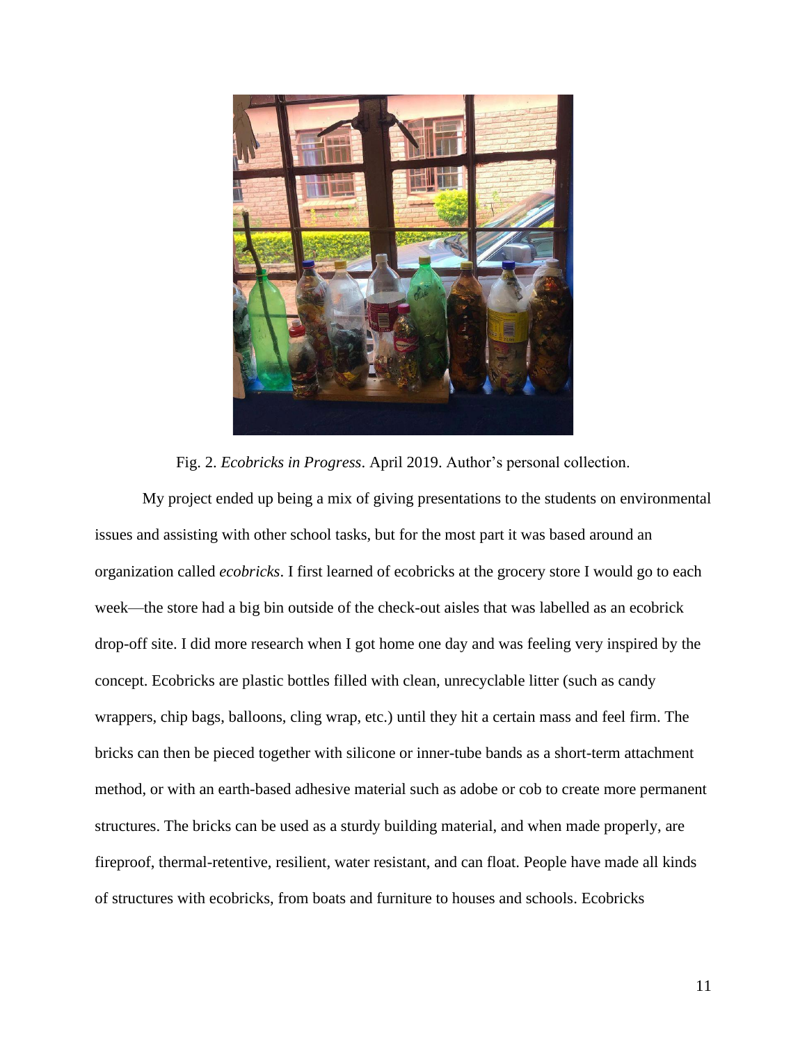

Fig. 2. *Ecobricks in Progress*. April 2019. Author's personal collection.

My project ended up being a mix of giving presentations to the students on environmental issues and assisting with other school tasks, but for the most part it was based around an organization called *ecobricks*. I first learned of ecobricks at the grocery store I would go to each week—the store had a big bin outside of the check-out aisles that was labelled as an ecobrick drop-off site. I did more research when I got home one day and was feeling very inspired by the concept. Ecobricks are plastic bottles filled with clean, unrecyclable litter (such as candy wrappers, chip bags, balloons, cling wrap, etc.) until they hit a certain mass and feel firm. The bricks can then be pieced together with silicone or inner-tube bands as a short-term attachment method, or with an earth-based adhesive material such as adobe or cob to create more permanent structures. The bricks can be used as a sturdy building material, and when made properly, are fireproof, thermal-retentive, resilient, water resistant, and can float. People have made all kinds of structures with ecobricks, from boats and furniture to houses and schools. Ecobricks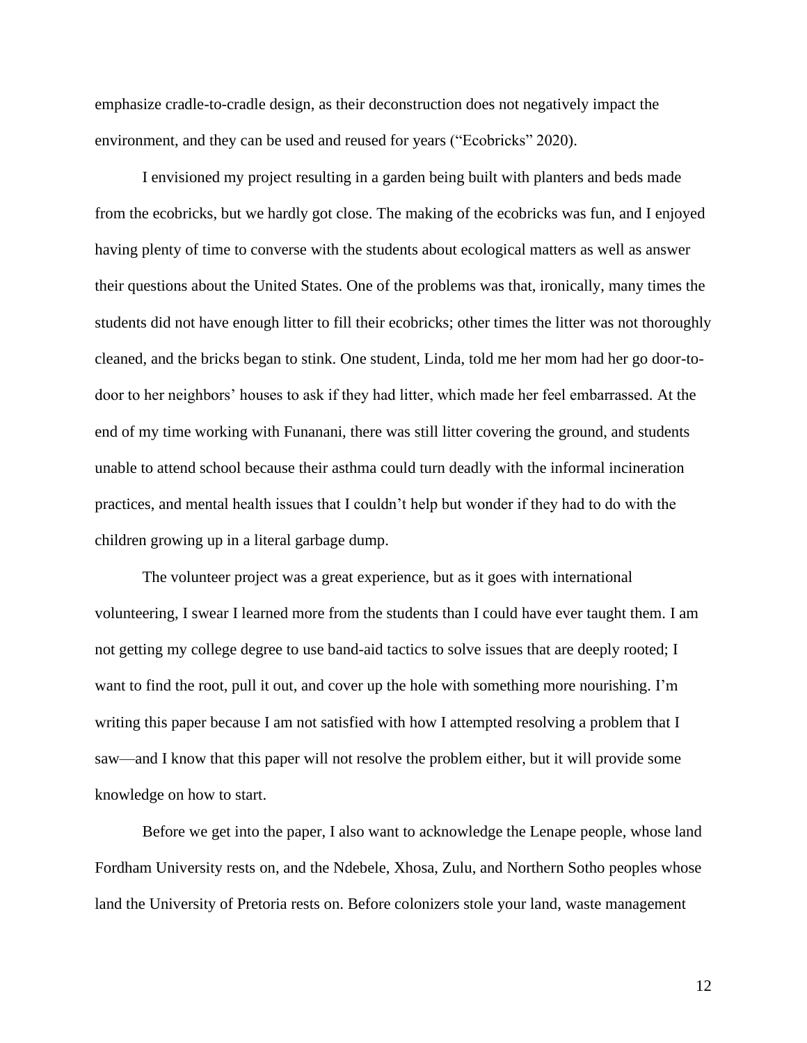emphasize cradle-to-cradle design, as their deconstruction does not negatively impact the environment, and they can be used and reused for years ("Ecobricks" 2020).

I envisioned my project resulting in a garden being built with planters and beds made from the ecobricks, but we hardly got close. The making of the ecobricks was fun, and I enjoyed having plenty of time to converse with the students about ecological matters as well as answer their questions about the United States. One of the problems was that, ironically, many times the students did not have enough litter to fill their ecobricks; other times the litter was not thoroughly cleaned, and the bricks began to stink. One student, Linda, told me her mom had her go door-todoor to her neighbors' houses to ask if they had litter, which made her feel embarrassed. At the end of my time working with Funanani, there was still litter covering the ground, and students unable to attend school because their asthma could turn deadly with the informal incineration practices, and mental health issues that I couldn't help but wonder if they had to do with the children growing up in a literal garbage dump.

The volunteer project was a great experience, but as it goes with international volunteering, I swear I learned more from the students than I could have ever taught them. I am not getting my college degree to use band-aid tactics to solve issues that are deeply rooted; I want to find the root, pull it out, and cover up the hole with something more nourishing. I'm writing this paper because I am not satisfied with how I attempted resolving a problem that I saw—and I know that this paper will not resolve the problem either, but it will provide some knowledge on how to start.

Before we get into the paper, I also want to acknowledge the Lenape people, whose land Fordham University rests on, and the Ndebele, Xhosa, Zulu, and Northern Sotho peoples whose land the University of Pretoria rests on. Before colonizers stole your land, waste management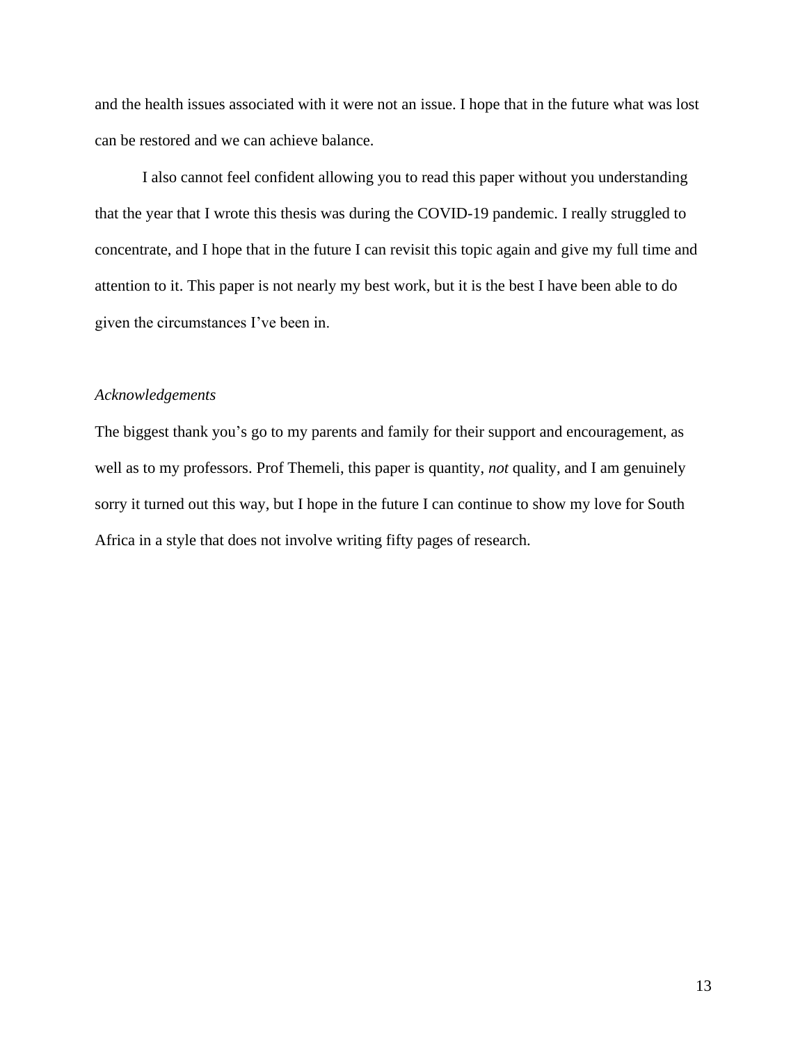and the health issues associated with it were not an issue. I hope that in the future what was lost can be restored and we can achieve balance.

I also cannot feel confident allowing you to read this paper without you understanding that the year that I wrote this thesis was during the COVID-19 pandemic. I really struggled to concentrate, and I hope that in the future I can revisit this topic again and give my full time and attention to it. This paper is not nearly my best work, but it is the best I have been able to do given the circumstances I've been in.

## *Acknowledgements*

The biggest thank you's go to my parents and family for their support and encouragement, as well as to my professors. Prof Themeli, this paper is quantity, *not* quality, and I am genuinely sorry it turned out this way, but I hope in the future I can continue to show my love for South Africa in a style that does not involve writing fifty pages of research.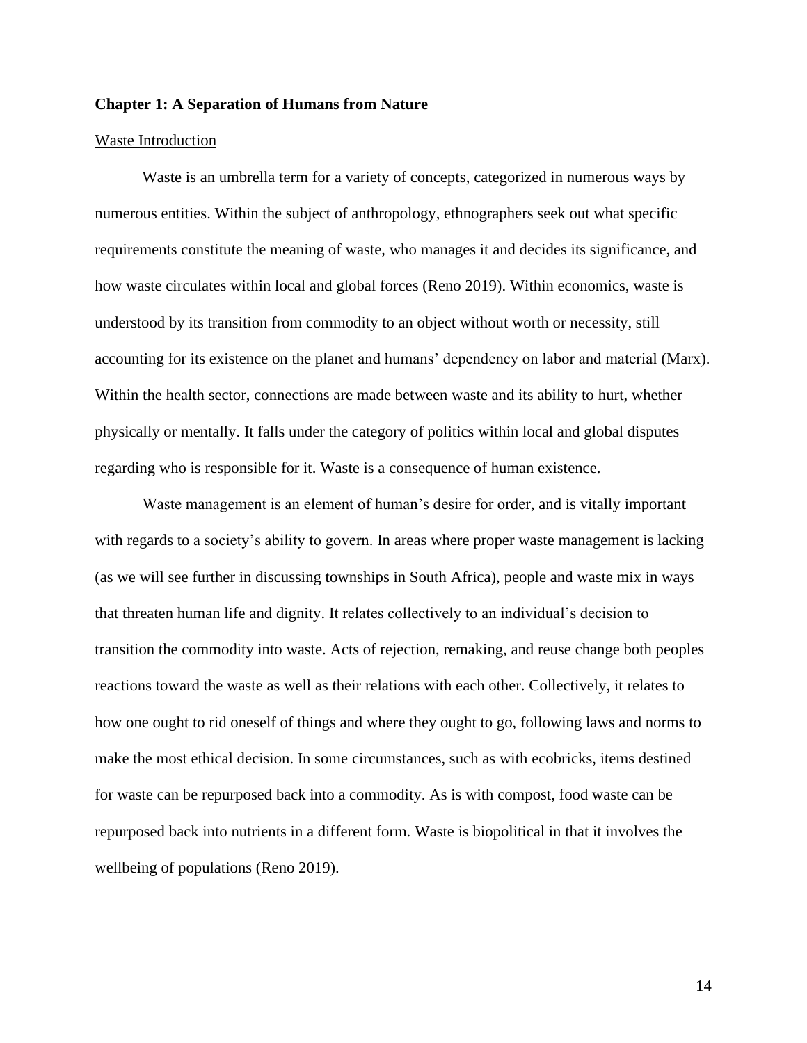## **Chapter 1: A Separation of Humans from Nature**

#### Waste Introduction

Waste is an umbrella term for a variety of concepts, categorized in numerous ways by numerous entities. Within the subject of anthropology, ethnographers seek out what specific requirements constitute the meaning of waste, who manages it and decides its significance, and how waste circulates within local and global forces (Reno 2019). Within economics, waste is understood by its transition from commodity to an object without worth or necessity, still accounting for its existence on the planet and humans' dependency on labor and material (Marx). Within the health sector, connections are made between waste and its ability to hurt, whether physically or mentally. It falls under the category of politics within local and global disputes regarding who is responsible for it. Waste is a consequence of human existence.

Waste management is an element of human's desire for order, and is vitally important with regards to a society's ability to govern. In areas where proper waste management is lacking (as we will see further in discussing townships in South Africa), people and waste mix in ways that threaten human life and dignity. It relates collectively to an individual's decision to transition the commodity into waste. Acts of rejection, remaking, and reuse change both peoples reactions toward the waste as well as their relations with each other. Collectively, it relates to how one ought to rid oneself of things and where they ought to go, following laws and norms to make the most ethical decision. In some circumstances, such as with ecobricks, items destined for waste can be repurposed back into a commodity. As is with compost, food waste can be repurposed back into nutrients in a different form. Waste is biopolitical in that it involves the wellbeing of populations (Reno 2019).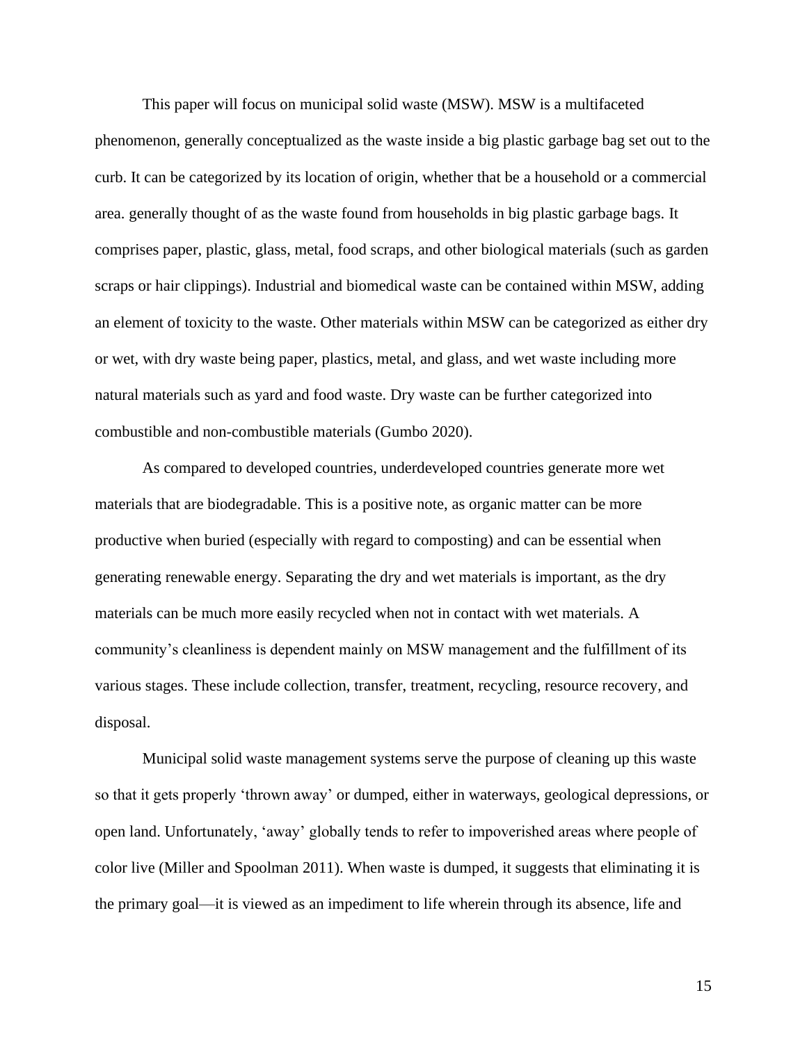This paper will focus on municipal solid waste (MSW). MSW is a multifaceted phenomenon, generally conceptualized as the waste inside a big plastic garbage bag set out to the curb. It can be categorized by its location of origin, whether that be a household or a commercial area. generally thought of as the waste found from households in big plastic garbage bags. It comprises paper, plastic, glass, metal, food scraps, and other biological materials (such as garden scraps or hair clippings). Industrial and biomedical waste can be contained within MSW, adding an element of toxicity to the waste. Other materials within MSW can be categorized as either dry or wet, with dry waste being paper, plastics, metal, and glass, and wet waste including more natural materials such as yard and food waste. Dry waste can be further categorized into combustible and non-combustible materials (Gumbo 2020).

As compared to developed countries, underdeveloped countries generate more wet materials that are biodegradable. This is a positive note, as organic matter can be more productive when buried (especially with regard to composting) and can be essential when generating renewable energy. Separating the dry and wet materials is important, as the dry materials can be much more easily recycled when not in contact with wet materials. A community's cleanliness is dependent mainly on MSW management and the fulfillment of its various stages. These include collection, transfer, treatment, recycling, resource recovery, and disposal.

Municipal solid waste management systems serve the purpose of cleaning up this waste so that it gets properly 'thrown away' or dumped, either in waterways, geological depressions, or open land. Unfortunately, 'away' globally tends to refer to impoverished areas where people of color live (Miller and Spoolman 2011). When waste is dumped, it suggests that eliminating it is the primary goal—it is viewed as an impediment to life wherein through its absence, life and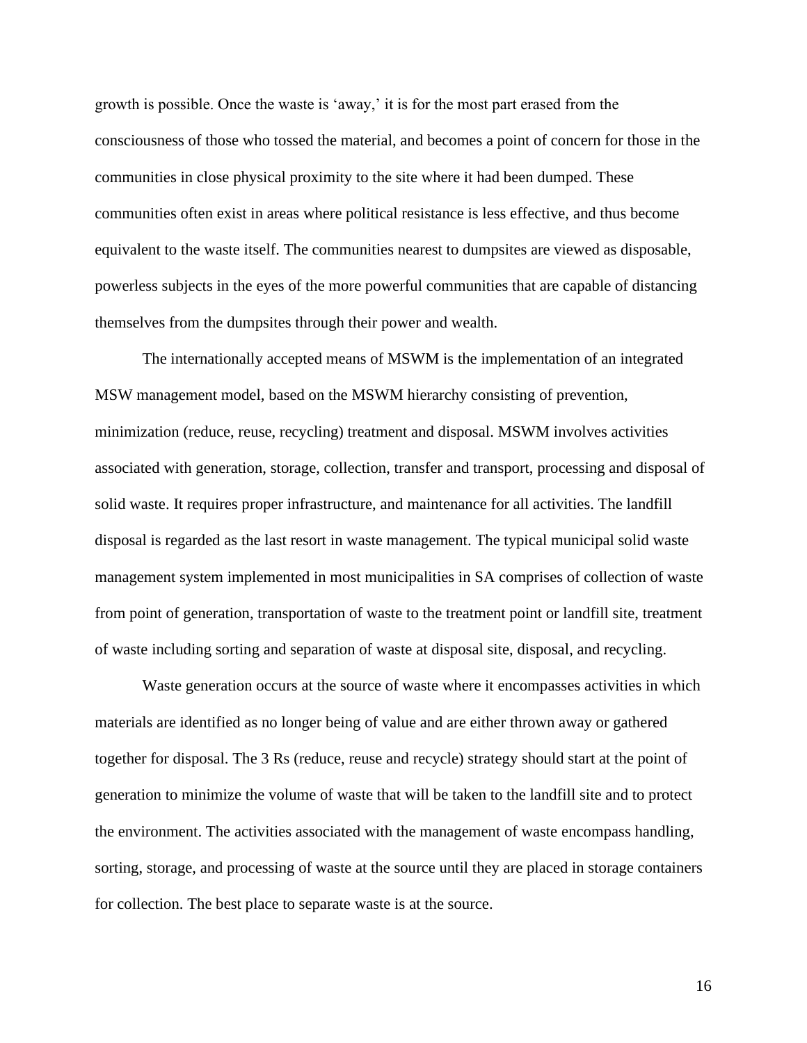growth is possible. Once the waste is 'away,' it is for the most part erased from the consciousness of those who tossed the material, and becomes a point of concern for those in the communities in close physical proximity to the site where it had been dumped. These communities often exist in areas where political resistance is less effective, and thus become equivalent to the waste itself. The communities nearest to dumpsites are viewed as disposable, powerless subjects in the eyes of the more powerful communities that are capable of distancing themselves from the dumpsites through their power and wealth.

The internationally accepted means of MSWM is the implementation of an integrated MSW management model, based on the MSWM hierarchy consisting of prevention, minimization (reduce, reuse, recycling) treatment and disposal. MSWM involves activities associated with generation, storage, collection, transfer and transport, processing and disposal of solid waste. It requires proper infrastructure, and maintenance for all activities. The landfill disposal is regarded as the last resort in waste management. The typical municipal solid waste management system implemented in most municipalities in SA comprises of collection of waste from point of generation, transportation of waste to the treatment point or landfill site, treatment of waste including sorting and separation of waste at disposal site, disposal, and recycling.

Waste generation occurs at the source of waste where it encompasses activities in which materials are identified as no longer being of value and are either thrown away or gathered together for disposal. The 3 Rs (reduce, reuse and recycle) strategy should start at the point of generation to minimize the volume of waste that will be taken to the landfill site and to protect the environment. The activities associated with the management of waste encompass handling, sorting, storage, and processing of waste at the source until they are placed in storage containers for collection. The best place to separate waste is at the source.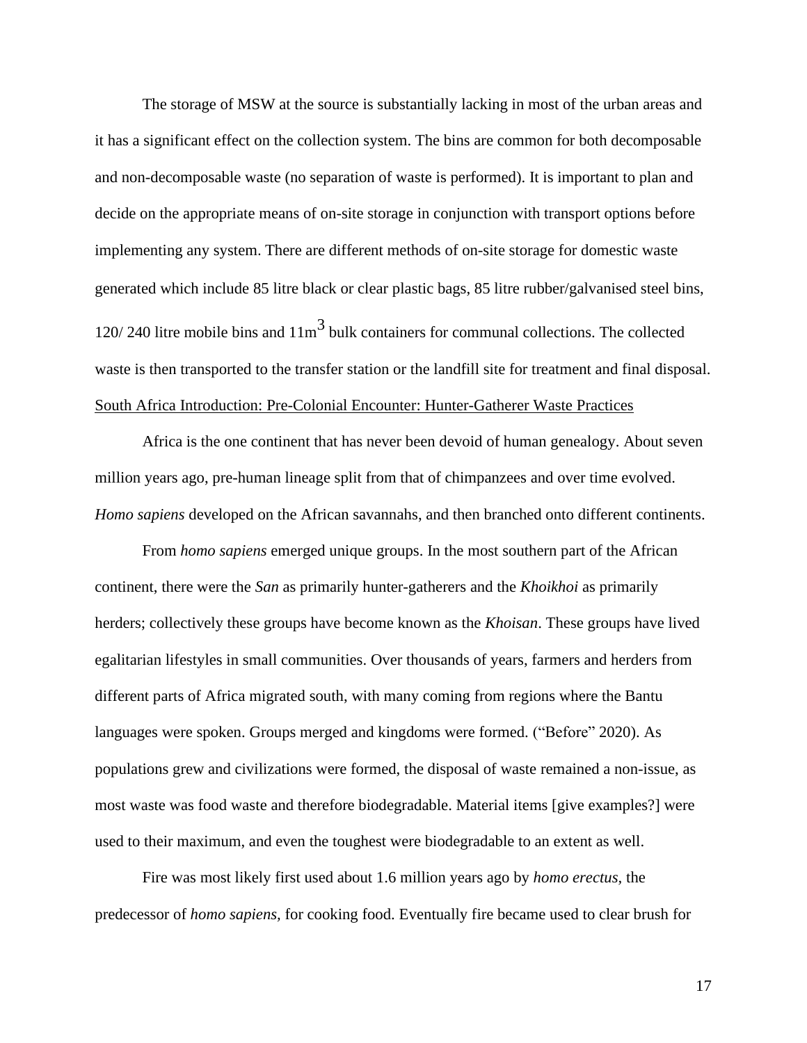The storage of MSW at the source is substantially lacking in most of the urban areas and it has a significant effect on the collection system. The bins are common for both decomposable and non-decomposable waste (no separation of waste is performed). It is important to plan and decide on the appropriate means of on-site storage in conjunction with transport options before implementing any system. There are different methods of on-site storage for domestic waste generated which include 85 litre black or clear plastic bags, 85 litre rubber/galvanised steel bins, 120/ 240 litre mobile bins and  $11m<sup>3</sup>$  bulk containers for communal collections. The collected waste is then transported to the transfer station or the landfill site for treatment and final disposal. South Africa Introduction: Pre-Colonial Encounter: Hunter-Gatherer Waste Practices

Africa is the one continent that has never been devoid of human genealogy. About seven million years ago, pre-human lineage split from that of chimpanzees and over time evolved. *Homo sapiens* developed on the African savannahs, and then branched onto different continents.

From *homo sapiens* emerged unique groups. In the most southern part of the African continent, there were the *San* as primarily hunter-gatherers and the *Khoikhoi* as primarily herders; collectively these groups have become known as the *Khoisan*. These groups have lived egalitarian lifestyles in small communities. Over thousands of years, farmers and herders from different parts of Africa migrated south, with many coming from regions where the Bantu languages were spoken. Groups merged and kingdoms were formed. ("Before" 2020). As populations grew and civilizations were formed, the disposal of waste remained a non-issue, as most waste was food waste and therefore biodegradable. Material items [give examples?] were used to their maximum, and even the toughest were biodegradable to an extent as well.

Fire was most likely first used about 1.6 million years ago by *homo erectus,* the predecessor of *homo sapiens,* for cooking food. Eventually fire became used to clear brush for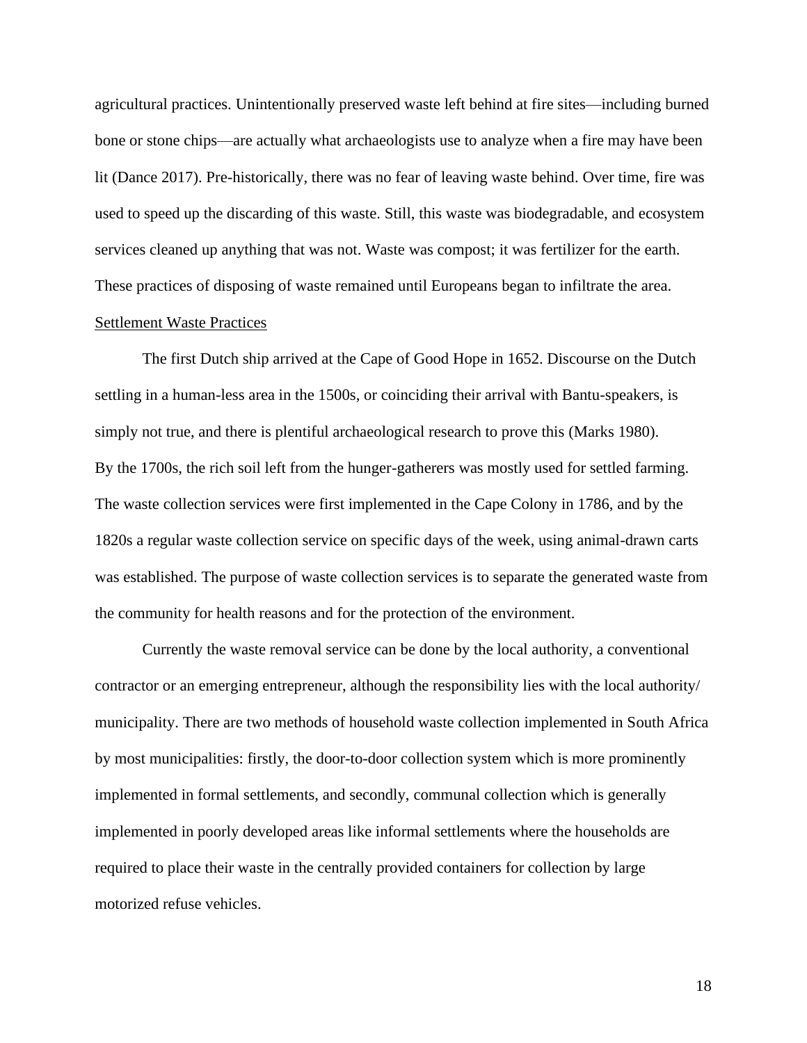agricultural practices. Unintentionally preserved waste left behind at fire sites—including burned bone or stone chips—are actually what archaeologists use to analyze when a fire may have been lit (Dance 2017). Pre-historically, there was no fear of leaving waste behind. Over time, fire was used to speed up the discarding of this waste. Still, this waste was biodegradable, and ecosystem services cleaned up anything that was not. Waste was compost; it was fertilizer for the earth. These practices of disposing of waste remained until Europeans began to infiltrate the area.

## Settlement Waste Practices

The first Dutch ship arrived at the Cape of Good Hope in 1652. Discourse on the Dutch settling in a human-less area in the 1500s, or coinciding their arrival with Bantu-speakers, is simply not true, and there is plentiful archaeological research to prove this (Marks 1980). By the 1700s, the rich soil left from the hunger-gatherers was mostly used for settled farming. The waste collection services were first implemented in the Cape Colony in 1786, and by the 1820s a regular waste collection service on specific days of the week, using animal-drawn carts was established. The purpose of waste collection services is to separate the generated waste from the community for health reasons and for the protection of the environment.

Currently the waste removal service can be done by the local authority, a conventional contractor or an emerging entrepreneur, although the responsibility lies with the local authority/ municipality. There are two methods of household waste collection implemented in South Africa by most municipalities: firstly, the door-to-door collection system which is more prominently implemented in formal settlements, and secondly, communal collection which is generally implemented in poorly developed areas like informal settlements where the households are required to place their waste in the centrally provided containers for collection by large motorized refuse vehicles.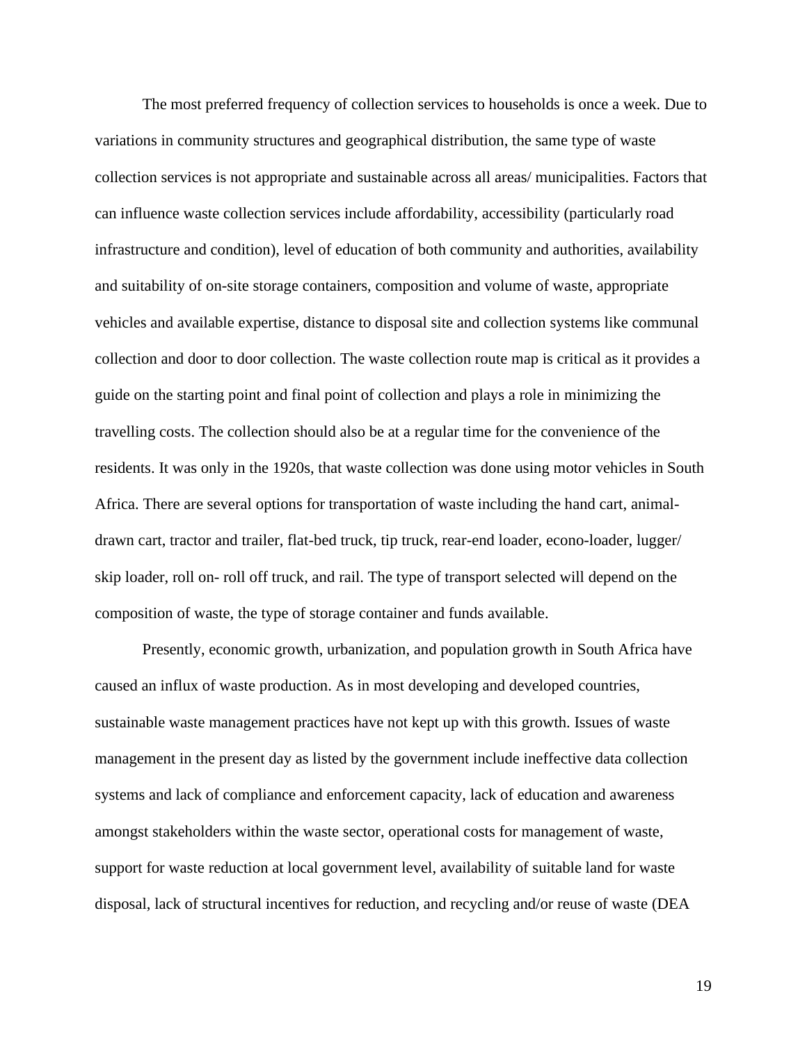The most preferred frequency of collection services to households is once a week. Due to variations in community structures and geographical distribution, the same type of waste collection services is not appropriate and sustainable across all areas/ municipalities. Factors that can influence waste collection services include affordability, accessibility (particularly road infrastructure and condition), level of education of both community and authorities, availability and suitability of on-site storage containers, composition and volume of waste, appropriate vehicles and available expertise, distance to disposal site and collection systems like communal collection and door to door collection. The waste collection route map is critical as it provides a guide on the starting point and final point of collection and plays a role in minimizing the travelling costs. The collection should also be at a regular time for the convenience of the residents. It was only in the 1920s, that waste collection was done using motor vehicles in South Africa. There are several options for transportation of waste including the hand cart, animaldrawn cart, tractor and trailer, flat-bed truck, tip truck, rear-end loader, econo-loader, lugger/ skip loader, roll on- roll off truck, and rail. The type of transport selected will depend on the composition of waste, the type of storage container and funds available.

Presently, economic growth, urbanization, and population growth in South Africa have caused an influx of waste production. As in most developing and developed countries, sustainable waste management practices have not kept up with this growth. Issues of waste management in the present day as listed by the government include ineffective data collection systems and lack of compliance and enforcement capacity, lack of education and awareness amongst stakeholders within the waste sector, operational costs for management of waste, support for waste reduction at local government level, availability of suitable land for waste disposal, lack of structural incentives for reduction, and recycling and/or reuse of waste (DEA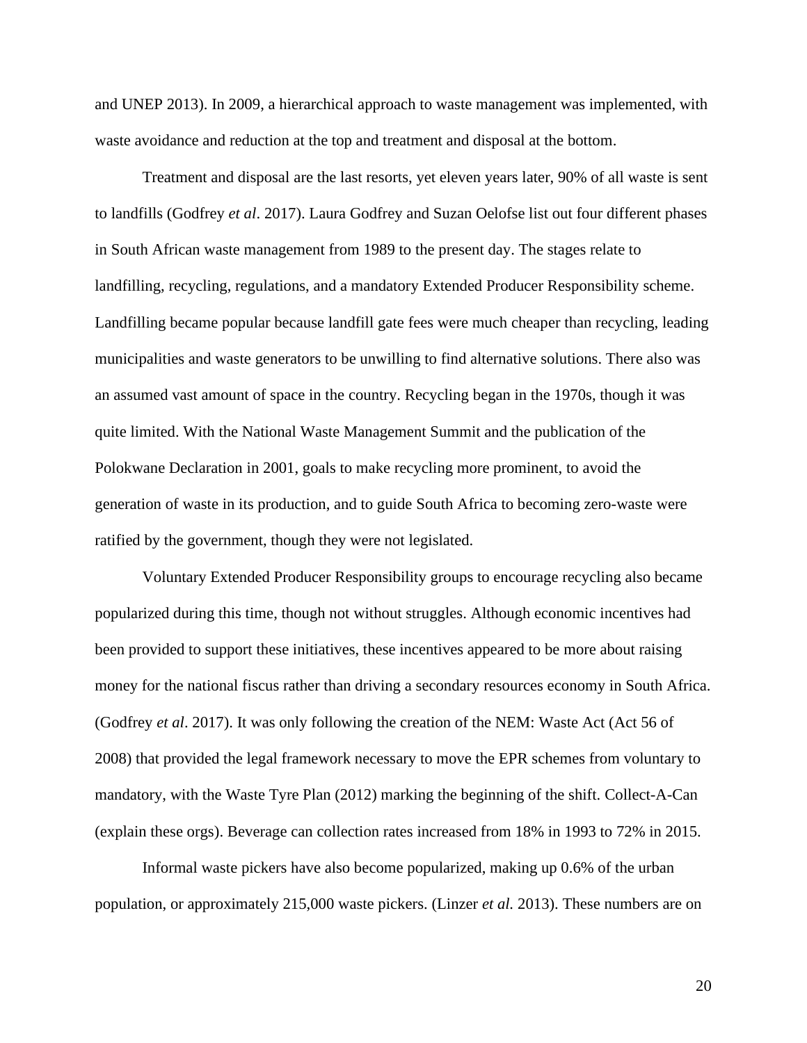and UNEP 2013). In 2009, a hierarchical approach to waste management was implemented, with waste avoidance and reduction at the top and treatment and disposal at the bottom.

Treatment and disposal are the last resorts, yet eleven years later, 90% of all waste is sent to landfills (Godfrey *et al*. 2017). Laura Godfrey and Suzan Oelofse list out four different phases in South African waste management from 1989 to the present day. The stages relate to landfilling, recycling, regulations, and a mandatory Extended Producer Responsibility scheme. Landfilling became popular because landfill gate fees were much cheaper than recycling, leading municipalities and waste generators to be unwilling to find alternative solutions. There also was an assumed vast amount of space in the country. Recycling began in the 1970s, though it was quite limited. With the National Waste Management Summit and the publication of the Polokwane Declaration in 2001, goals to make recycling more prominent, to avoid the generation of waste in its production, and to guide South Africa to becoming zero-waste were ratified by the government, though they were not legislated.

Voluntary Extended Producer Responsibility groups to encourage recycling also became popularized during this time, though not without struggles. Although economic incentives had been provided to support these initiatives, these incentives appeared to be more about raising money for the national fiscus rather than driving a secondary resources economy in South Africa. (Godfrey *et al*. 2017). It was only following the creation of the NEM: Waste Act (Act 56 of 2008) that provided the legal framework necessary to move the EPR schemes from voluntary to mandatory, with the Waste Tyre Plan (2012) marking the beginning of the shift. Collect-A-Can (explain these orgs). Beverage can collection rates increased from 18% in 1993 to 72% in 2015.

Informal waste pickers have also become popularized, making up 0.6% of the urban population, or approximately 215,000 waste pickers. (Linzer *et al.* 2013). These numbers are on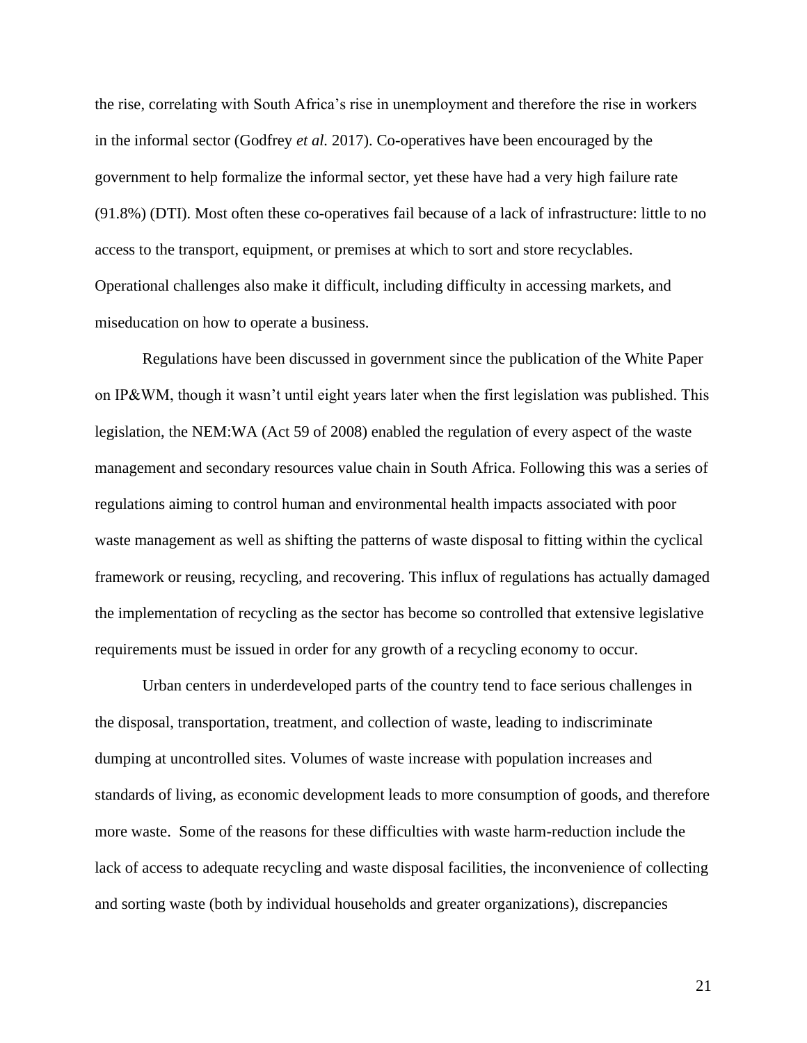the rise, correlating with South Africa's rise in unemployment and therefore the rise in workers in the informal sector (Godfrey *et al.* 2017). Co-operatives have been encouraged by the government to help formalize the informal sector, yet these have had a very high failure rate (91.8%) (DTI). Most often these co-operatives fail because of a lack of infrastructure: little to no access to the transport, equipment, or premises at which to sort and store recyclables. Operational challenges also make it difficult, including difficulty in accessing markets, and miseducation on how to operate a business.

Regulations have been discussed in government since the publication of the White Paper on IP&WM, though it wasn't until eight years later when the first legislation was published. This legislation, the NEM:WA (Act 59 of 2008) enabled the regulation of every aspect of the waste management and secondary resources value chain in South Africa. Following this was a series of regulations aiming to control human and environmental health impacts associated with poor waste management as well as shifting the patterns of waste disposal to fitting within the cyclical framework or reusing, recycling, and recovering. This influx of regulations has actually damaged the implementation of recycling as the sector has become so controlled that extensive legislative requirements must be issued in order for any growth of a recycling economy to occur.

Urban centers in underdeveloped parts of the country tend to face serious challenges in the disposal, transportation, treatment, and collection of waste, leading to indiscriminate dumping at uncontrolled sites. Volumes of waste increase with population increases and standards of living, as economic development leads to more consumption of goods, and therefore more waste. Some of the reasons for these difficulties with waste harm-reduction include the lack of access to adequate recycling and waste disposal facilities, the inconvenience of collecting and sorting waste (both by individual households and greater organizations), discrepancies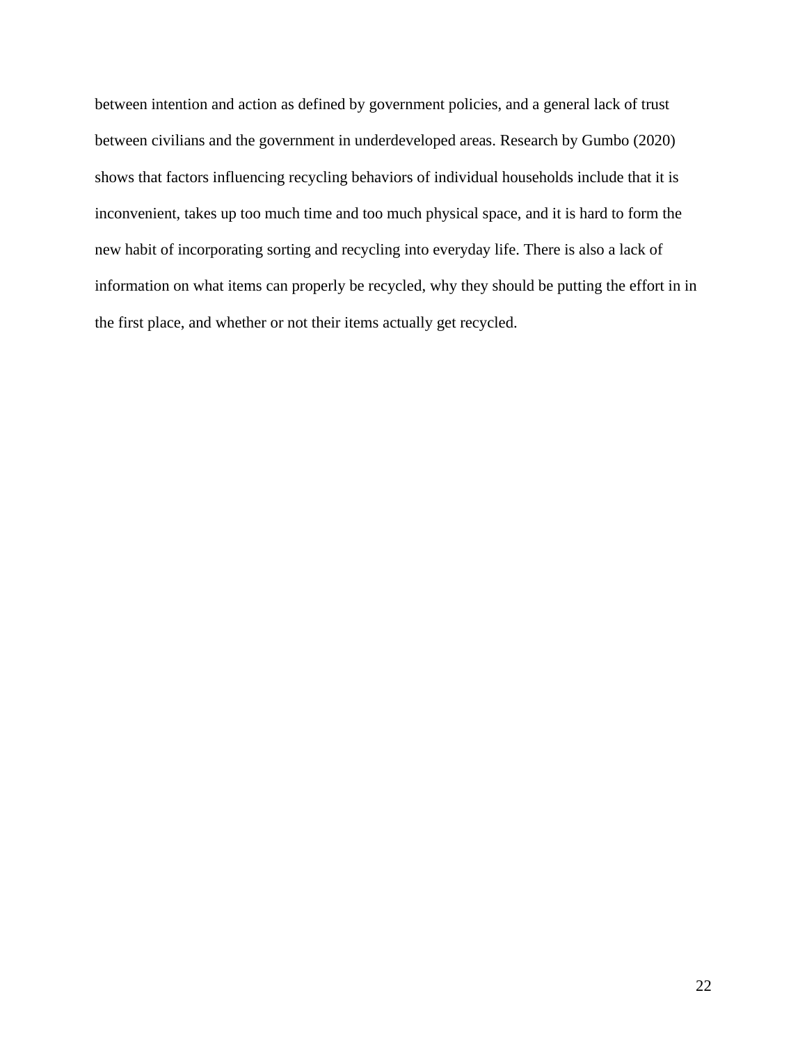between intention and action as defined by government policies, and a general lack of trust between civilians and the government in underdeveloped areas. Research by Gumbo (2020) shows that factors influencing recycling behaviors of individual households include that it is inconvenient, takes up too much time and too much physical space, and it is hard to form the new habit of incorporating sorting and recycling into everyday life. There is also a lack of information on what items can properly be recycled, why they should be putting the effort in in the first place, and whether or not their items actually get recycled.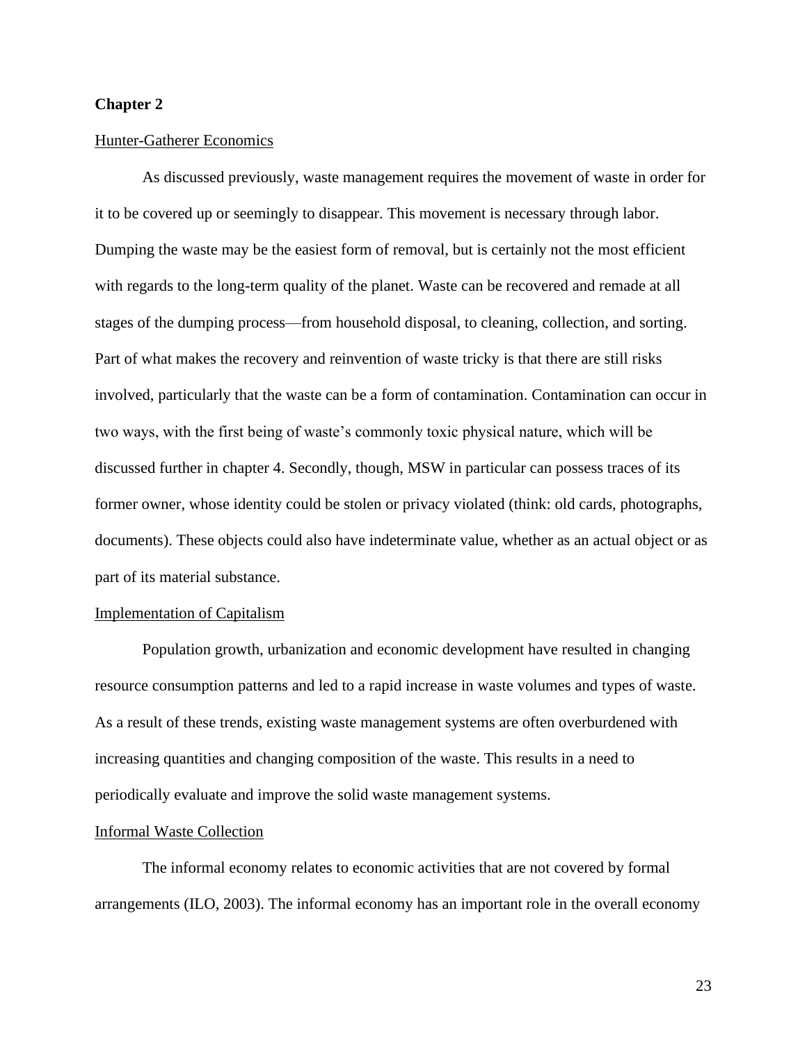## **Chapter 2**

#### Hunter-Gatherer Economics

As discussed previously, waste management requires the movement of waste in order for it to be covered up or seemingly to disappear. This movement is necessary through labor. Dumping the waste may be the easiest form of removal, but is certainly not the most efficient with regards to the long-term quality of the planet. Waste can be recovered and remade at all stages of the dumping process—from household disposal, to cleaning, collection, and sorting. Part of what makes the recovery and reinvention of waste tricky is that there are still risks involved, particularly that the waste can be a form of contamination. Contamination can occur in two ways, with the first being of waste's commonly toxic physical nature, which will be discussed further in chapter 4. Secondly, though, MSW in particular can possess traces of its former owner, whose identity could be stolen or privacy violated (think: old cards, photographs, documents). These objects could also have indeterminate value, whether as an actual object or as part of its material substance.

#### Implementation of Capitalism

Population growth, urbanization and economic development have resulted in changing resource consumption patterns and led to a rapid increase in waste volumes and types of waste. As a result of these trends, existing waste management systems are often overburdened with increasing quantities and changing composition of the waste. This results in a need to periodically evaluate and improve the solid waste management systems.

#### Informal Waste Collection

The informal economy relates to economic activities that are not covered by formal arrangements (ILO, 2003). The informal economy has an important role in the overall economy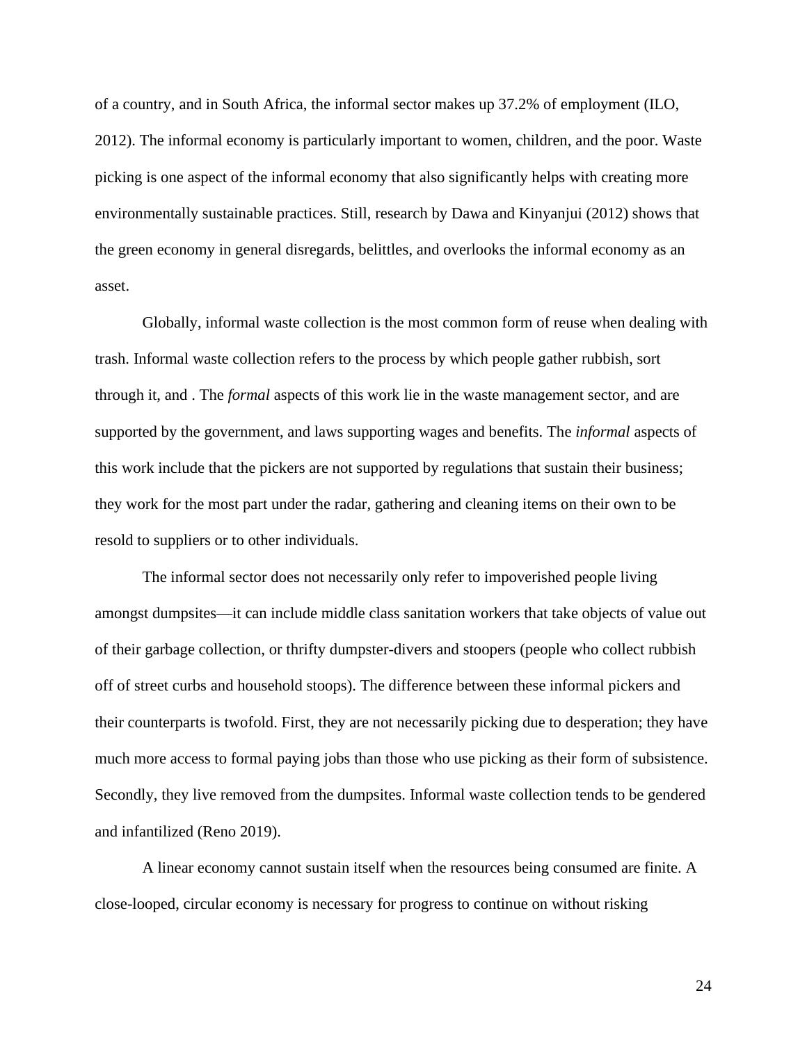of a country, and in South Africa, the informal sector makes up 37.2% of employment (ILO, 2012). The informal economy is particularly important to women, children, and the poor. Waste picking is one aspect of the informal economy that also significantly helps with creating more environmentally sustainable practices. Still, research by Dawa and Kinyanjui (2012) shows that the green economy in general disregards, belittles, and overlooks the informal economy as an asset.

Globally, informal waste collection is the most common form of reuse when dealing with trash. Informal waste collection refers to the process by which people gather rubbish, sort through it, and . The *formal* aspects of this work lie in the waste management sector, and are supported by the government, and laws supporting wages and benefits. The *informal* aspects of this work include that the pickers are not supported by regulations that sustain their business; they work for the most part under the radar, gathering and cleaning items on their own to be resold to suppliers or to other individuals.

The informal sector does not necessarily only refer to impoverished people living amongst dumpsites—it can include middle class sanitation workers that take objects of value out of their garbage collection, or thrifty dumpster-divers and stoopers (people who collect rubbish off of street curbs and household stoops). The difference between these informal pickers and their counterparts is twofold. First, they are not necessarily picking due to desperation; they have much more access to formal paying jobs than those who use picking as their form of subsistence. Secondly, they live removed from the dumpsites. Informal waste collection tends to be gendered and infantilized (Reno 2019).

A linear economy cannot sustain itself when the resources being consumed are finite. A close-looped, circular economy is necessary for progress to continue on without risking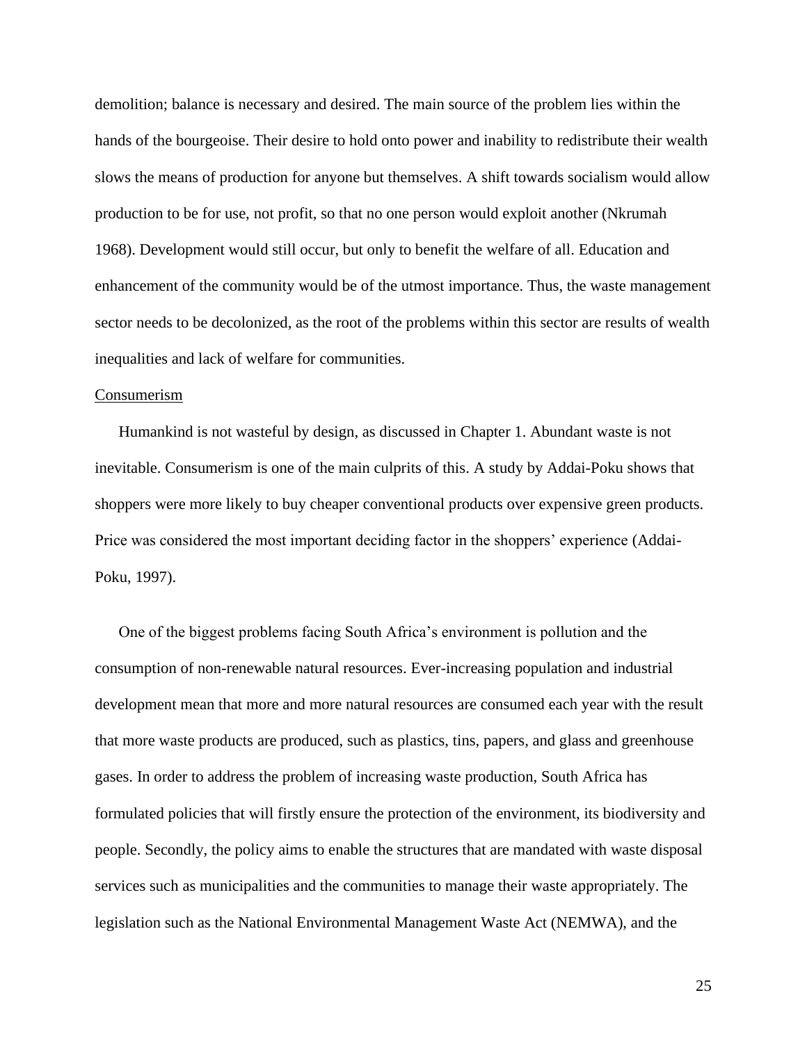demolition; balance is necessary and desired. The main source of the problem lies within the hands of the bourgeoise. Their desire to hold onto power and inability to redistribute their wealth slows the means of production for anyone but themselves. A shift towards socialism would allow production to be for use, not profit, so that no one person would exploit another (Nkrumah 1968). Development would still occur, but only to benefit the welfare of all. Education and enhancement of the community would be of the utmost importance. Thus, the waste management sector needs to be decolonized, as the root of the problems within this sector are results of wealth inequalities and lack of welfare for communities.

#### Consumerism

Humankind is not wasteful by design, as discussed in Chapter 1. Abundant waste is not inevitable. Consumerism is one of the main culprits of this. A study by Addai-Poku shows that shoppers were more likely to buy cheaper conventional products over expensive green products. Price was considered the most important deciding factor in the shoppers' experience (Addai-Poku, 1997).

One of the biggest problems facing South Africa's environment is pollution and the consumption of non-renewable natural resources. Ever-increasing population and industrial development mean that more and more natural resources are consumed each year with the result that more waste products are produced, such as plastics, tins, papers, and glass and greenhouse gases. In order to address the problem of increasing waste production, South Africa has formulated policies that will firstly ensure the protection of the environment, its biodiversity and people. Secondly, the policy aims to enable the structures that are mandated with waste disposal services such as municipalities and the communities to manage their waste appropriately. The legislation such as the National Environmental Management Waste Act (NEMWA), and the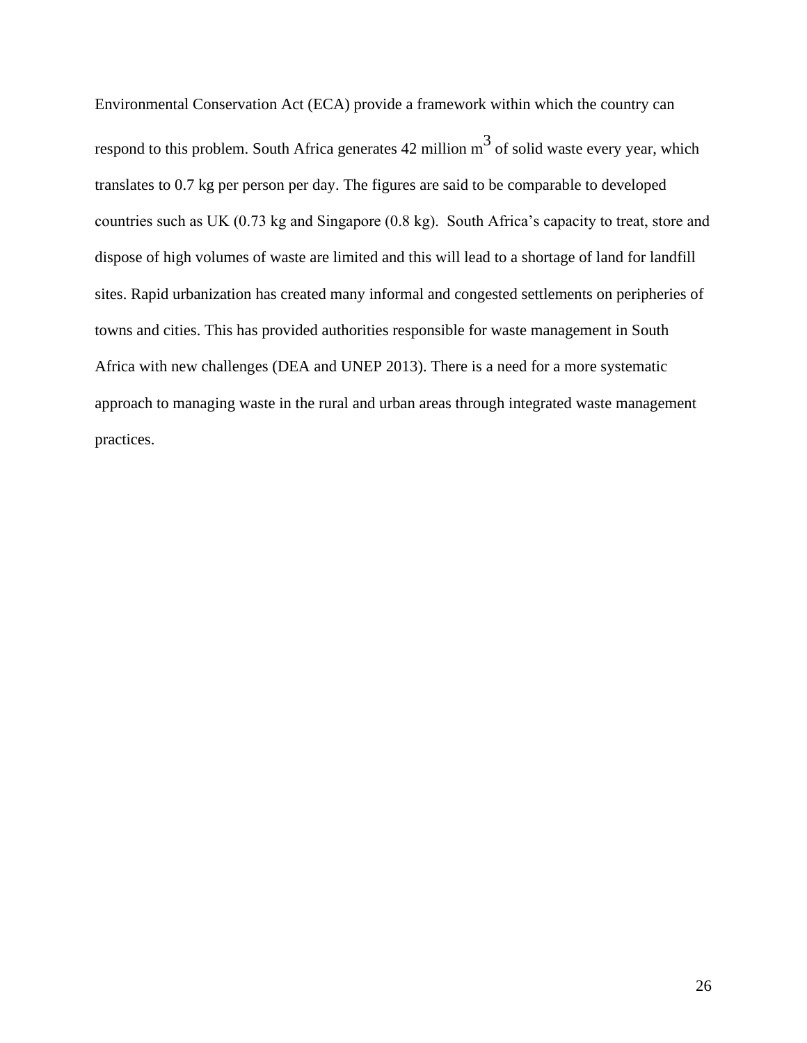Environmental Conservation Act (ECA) provide a framework within which the country can respond to this problem. South Africa generates  $42$  million  $m<sup>3</sup>$  of solid waste every year, which translates to 0.7 kg per person per day. The figures are said to be comparable to developed countries such as UK (0.73 kg and Singapore (0.8 kg). South Africa's capacity to treat, store and dispose of high volumes of waste are limited and this will lead to a shortage of land for landfill sites. Rapid urbanization has created many informal and congested settlements on peripheries of towns and cities. This has provided authorities responsible for waste management in South Africa with new challenges (DEA and UNEP 2013). There is a need for a more systematic approach to managing waste in the rural and urban areas through integrated waste management practices.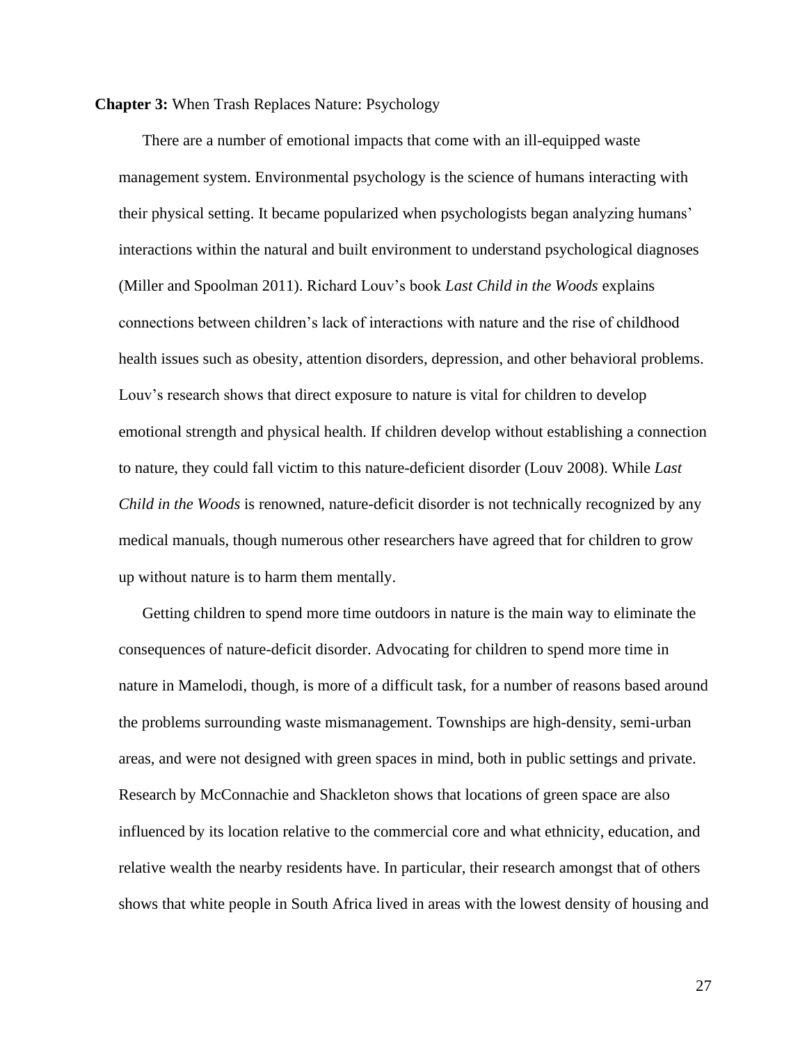#### **Chapter 3:** When Trash Replaces Nature: Psychology

There are a number of emotional impacts that come with an ill-equipped waste management system. Environmental psychology is the science of humans interacting with their physical setting. It became popularized when psychologists began analyzing humans' interactions within the natural and built environment to understand psychological diagnoses (Miller and Spoolman 2011). Richard Louv's book *Last Child in the Woods* explains connections between children's lack of interactions with nature and the rise of childhood health issues such as obesity, attention disorders, depression, and other behavioral problems. Louv's research shows that direct exposure to nature is vital for children to develop emotional strength and physical health. If children develop without establishing a connection to nature, they could fall victim to this nature-deficient disorder (Louv 2008). While *Last Child in the Woods* is renowned, nature-deficit disorder is not technically recognized by any medical manuals, though numerous other researchers have agreed that for children to grow up without nature is to harm them mentally.

Getting children to spend more time outdoors in nature is the main way to eliminate the consequences of nature-deficit disorder. Advocating for children to spend more time in nature in Mamelodi, though, is more of a difficult task, for a number of reasons based around the problems surrounding waste mismanagement. Townships are high-density, semi-urban areas, and were not designed with green spaces in mind, both in public settings and private. Research by McConnachie and Shackleton shows that locations of green space are also influenced by its location relative to the commercial core and what ethnicity, education, and relative wealth the nearby residents have. In particular, their research amongst that of others shows that white people in South Africa lived in areas with the lowest density of housing and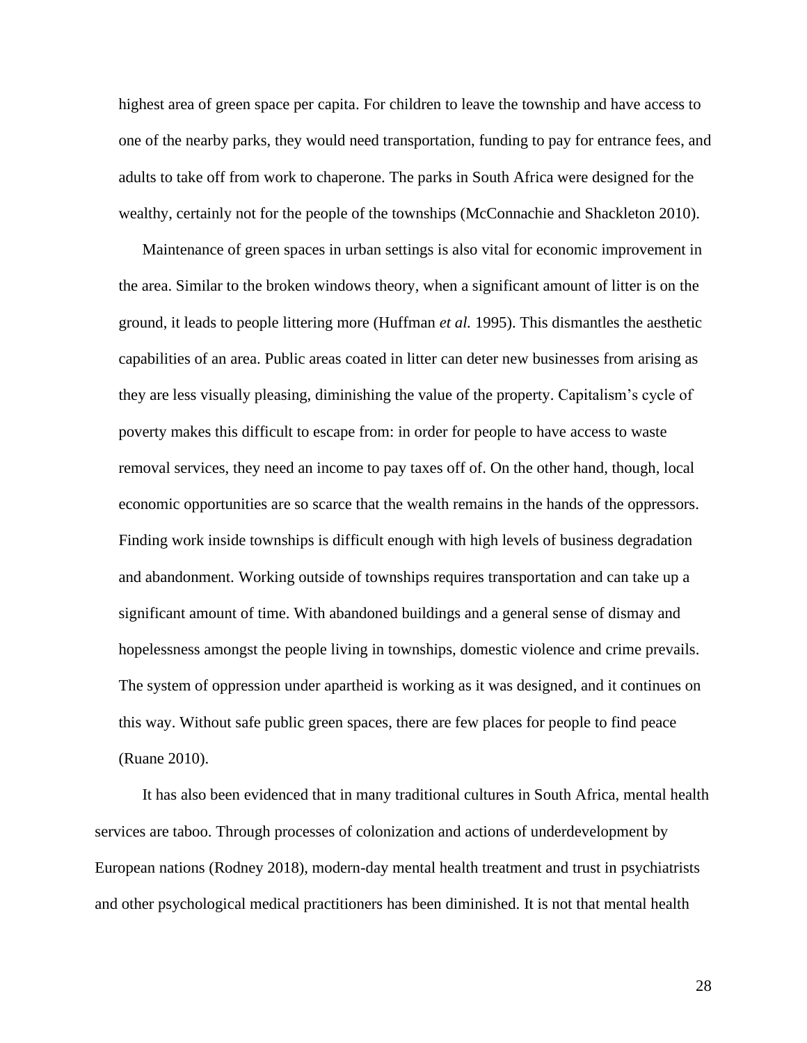highest area of green space per capita. For children to leave the township and have access to one of the nearby parks, they would need transportation, funding to pay for entrance fees, and adults to take off from work to chaperone. The parks in South Africa were designed for the wealthy, certainly not for the people of the townships (McConnachie and Shackleton 2010).

Maintenance of green spaces in urban settings is also vital for economic improvement in the area. Similar to the broken windows theory, when a significant amount of litter is on the ground, it leads to people littering more (Huffman *et al.* 1995). This dismantles the aesthetic capabilities of an area. Public areas coated in litter can deter new businesses from arising as they are less visually pleasing, diminishing the value of the property. Capitalism's cycle of poverty makes this difficult to escape from: in order for people to have access to waste removal services, they need an income to pay taxes off of. On the other hand, though, local economic opportunities are so scarce that the wealth remains in the hands of the oppressors. Finding work inside townships is difficult enough with high levels of business degradation and abandonment. Working outside of townships requires transportation and can take up a significant amount of time. With abandoned buildings and a general sense of dismay and hopelessness amongst the people living in townships, domestic violence and crime prevails. The system of oppression under apartheid is working as it was designed, and it continues on this way. Without safe public green spaces, there are few places for people to find peace (Ruane 2010).

It has also been evidenced that in many traditional cultures in South Africa, mental health services are taboo. Through processes of colonization and actions of underdevelopment by European nations (Rodney 2018), modern-day mental health treatment and trust in psychiatrists and other psychological medical practitioners has been diminished. It is not that mental health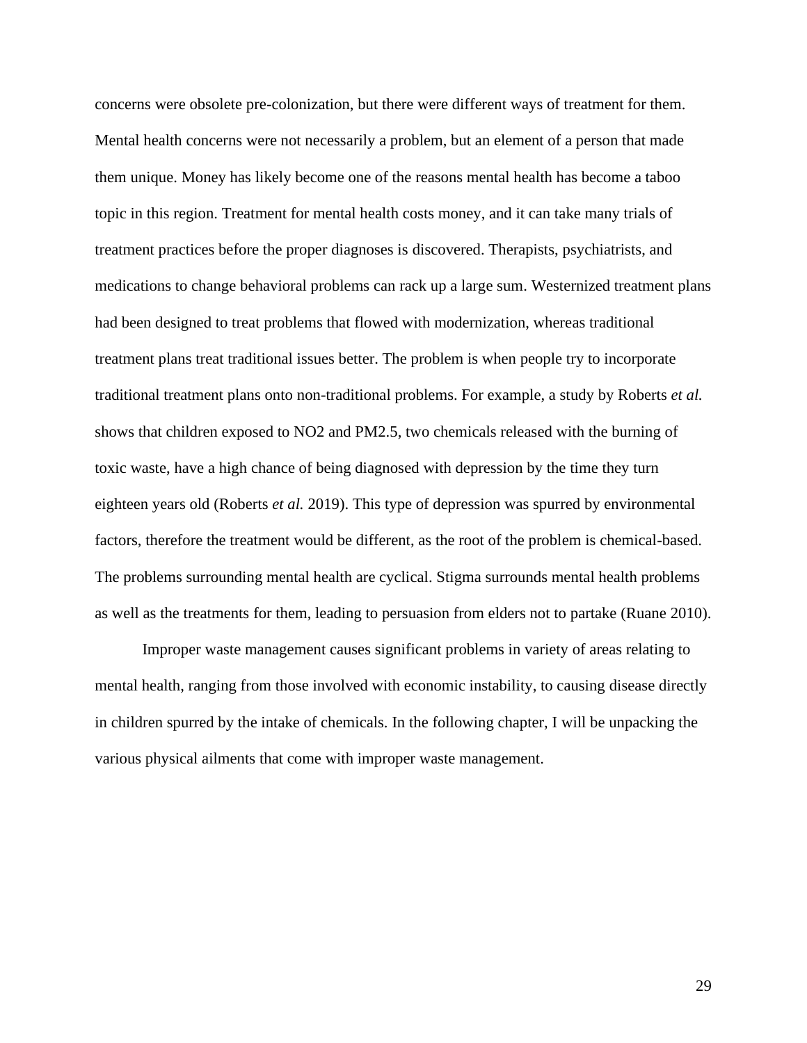concerns were obsolete pre-colonization, but there were different ways of treatment for them. Mental health concerns were not necessarily a problem, but an element of a person that made them unique. Money has likely become one of the reasons mental health has become a taboo topic in this region. Treatment for mental health costs money, and it can take many trials of treatment practices before the proper diagnoses is discovered. Therapists, psychiatrists, and medications to change behavioral problems can rack up a large sum. Westernized treatment plans had been designed to treat problems that flowed with modernization, whereas traditional treatment plans treat traditional issues better. The problem is when people try to incorporate traditional treatment plans onto non-traditional problems. For example, a study by Roberts *et al.*  shows that children exposed to NO2 and PM2.5, two chemicals released with the burning of toxic waste, have a high chance of being diagnosed with depression by the time they turn eighteen years old (Roberts *et al.* 2019). This type of depression was spurred by environmental factors, therefore the treatment would be different, as the root of the problem is chemical-based. The problems surrounding mental health are cyclical. Stigma surrounds mental health problems as well as the treatments for them, leading to persuasion from elders not to partake (Ruane 2010).

Improper waste management causes significant problems in variety of areas relating to mental health, ranging from those involved with economic instability, to causing disease directly in children spurred by the intake of chemicals. In the following chapter, I will be unpacking the various physical ailments that come with improper waste management.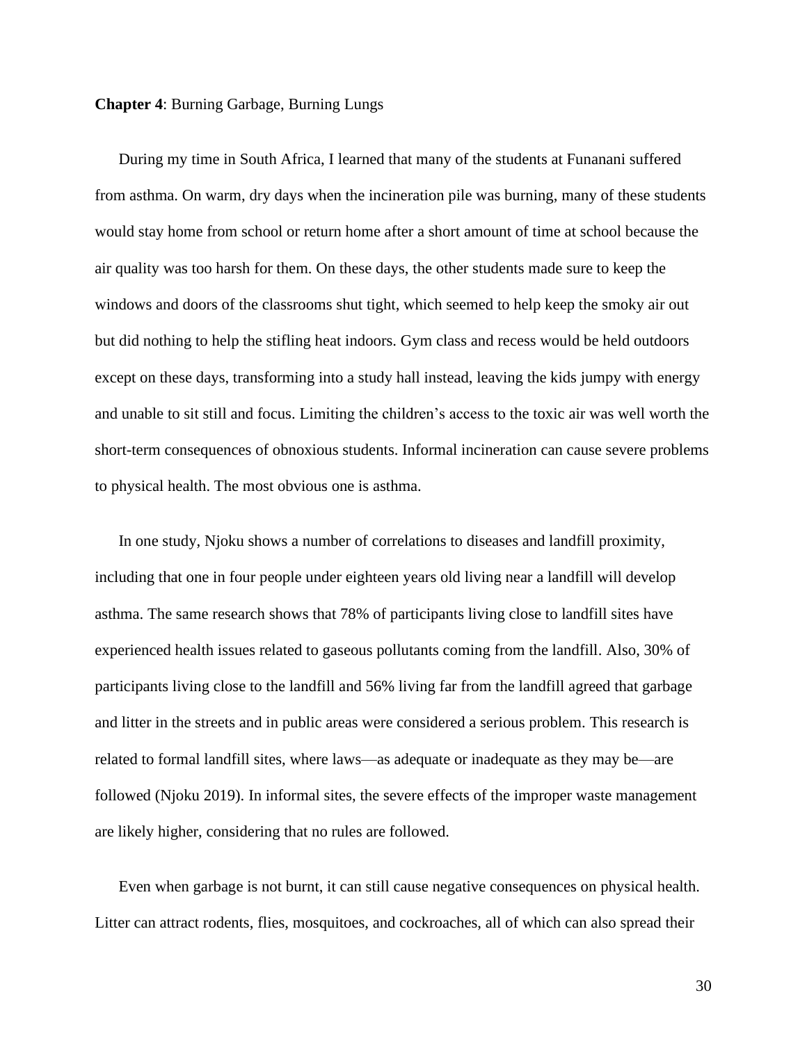#### **Chapter 4**: Burning Garbage, Burning Lungs

During my time in South Africa, I learned that many of the students at Funanani suffered from asthma. On warm, dry days when the incineration pile was burning, many of these students would stay home from school or return home after a short amount of time at school because the air quality was too harsh for them. On these days, the other students made sure to keep the windows and doors of the classrooms shut tight, which seemed to help keep the smoky air out but did nothing to help the stifling heat indoors. Gym class and recess would be held outdoors except on these days, transforming into a study hall instead, leaving the kids jumpy with energy and unable to sit still and focus. Limiting the children's access to the toxic air was well worth the short-term consequences of obnoxious students. Informal incineration can cause severe problems to physical health. The most obvious one is asthma.

In one study, Njoku shows a number of correlations to diseases and landfill proximity, including that one in four people under eighteen years old living near a landfill will develop asthma. The same research shows that 78% of participants living close to landfill sites have experienced health issues related to gaseous pollutants coming from the landfill. Also, 30% of participants living close to the landfill and 56% living far from the landfill agreed that garbage and litter in the streets and in public areas were considered a serious problem. This research is related to formal landfill sites, where laws—as adequate or inadequate as they may be—are followed (Njoku 2019). In informal sites, the severe effects of the improper waste management are likely higher, considering that no rules are followed.

Even when garbage is not burnt, it can still cause negative consequences on physical health. Litter can attract rodents, flies, mosquitoes, and cockroaches, all of which can also spread their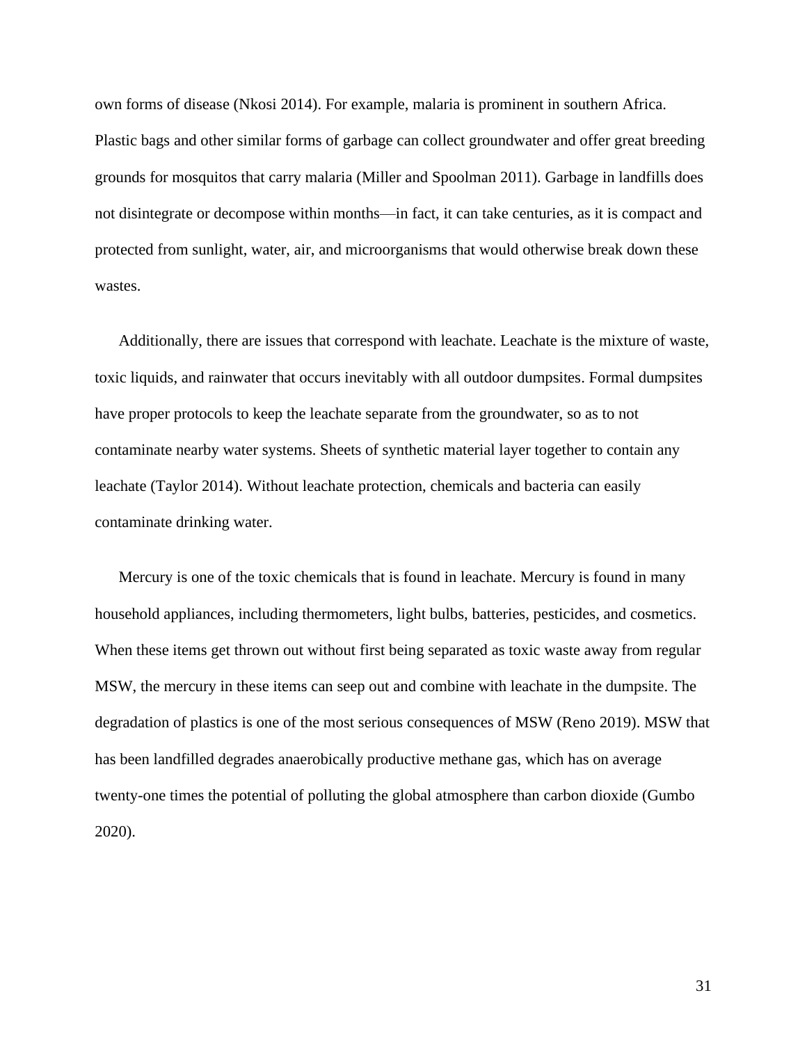own forms of disease (Nkosi 2014). For example, malaria is prominent in southern Africa. Plastic bags and other similar forms of garbage can collect groundwater and offer great breeding grounds for mosquitos that carry malaria (Miller and Spoolman 2011). Garbage in landfills does not disintegrate or decompose within months—in fact, it can take centuries, as it is compact and protected from sunlight, water, air, and microorganisms that would otherwise break down these wastes.

Additionally, there are issues that correspond with leachate. Leachate is the mixture of waste, toxic liquids, and rainwater that occurs inevitably with all outdoor dumpsites. Formal dumpsites have proper protocols to keep the leachate separate from the groundwater, so as to not contaminate nearby water systems. Sheets of synthetic material layer together to contain any leachate (Taylor 2014). Without leachate protection, chemicals and bacteria can easily contaminate drinking water.

Mercury is one of the toxic chemicals that is found in leachate. Mercury is found in many household appliances, including thermometers, light bulbs, batteries, pesticides, and cosmetics. When these items get thrown out without first being separated as toxic waste away from regular MSW, the mercury in these items can seep out and combine with leachate in the dumpsite. The degradation of plastics is one of the most serious consequences of MSW (Reno 2019). MSW that has been landfilled degrades anaerobically productive methane gas, which has on average twenty-one times the potential of polluting the global atmosphere than carbon dioxide (Gumbo 2020).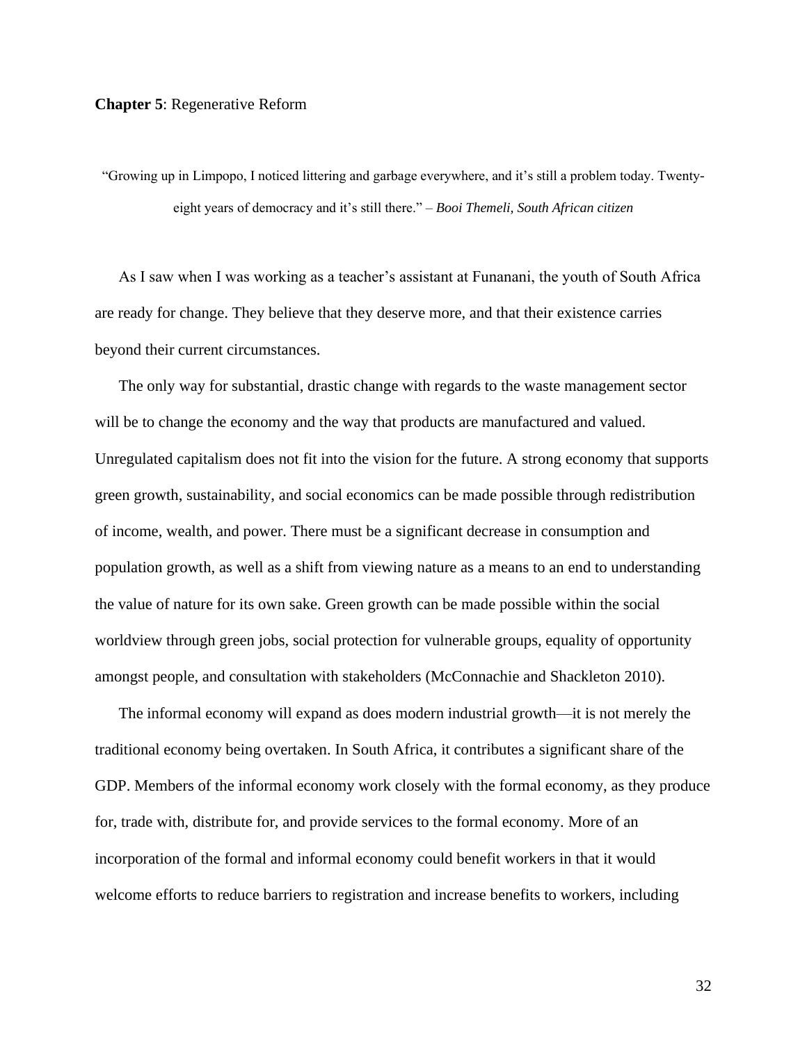#### **Chapter 5**: Regenerative Reform

"Growing up in Limpopo, I noticed littering and garbage everywhere, and it's still a problem today. Twentyeight years of democracy and it's still there." – *Booi Themeli, South African citizen*

As I saw when I was working as a teacher's assistant at Funanani, the youth of South Africa are ready for change. They believe that they deserve more, and that their existence carries beyond their current circumstances.

The only way for substantial, drastic change with regards to the waste management sector will be to change the economy and the way that products are manufactured and valued. Unregulated capitalism does not fit into the vision for the future. A strong economy that supports green growth, sustainability, and social economics can be made possible through redistribution of income, wealth, and power. There must be a significant decrease in consumption and population growth, as well as a shift from viewing nature as a means to an end to understanding the value of nature for its own sake. Green growth can be made possible within the social worldview through green jobs, social protection for vulnerable groups, equality of opportunity amongst people, and consultation with stakeholders (McConnachie and Shackleton 2010).

The informal economy will expand as does modern industrial growth—it is not merely the traditional economy being overtaken. In South Africa, it contributes a significant share of the GDP. Members of the informal economy work closely with the formal economy, as they produce for, trade with, distribute for, and provide services to the formal economy. More of an incorporation of the formal and informal economy could benefit workers in that it would welcome efforts to reduce barriers to registration and increase benefits to workers, including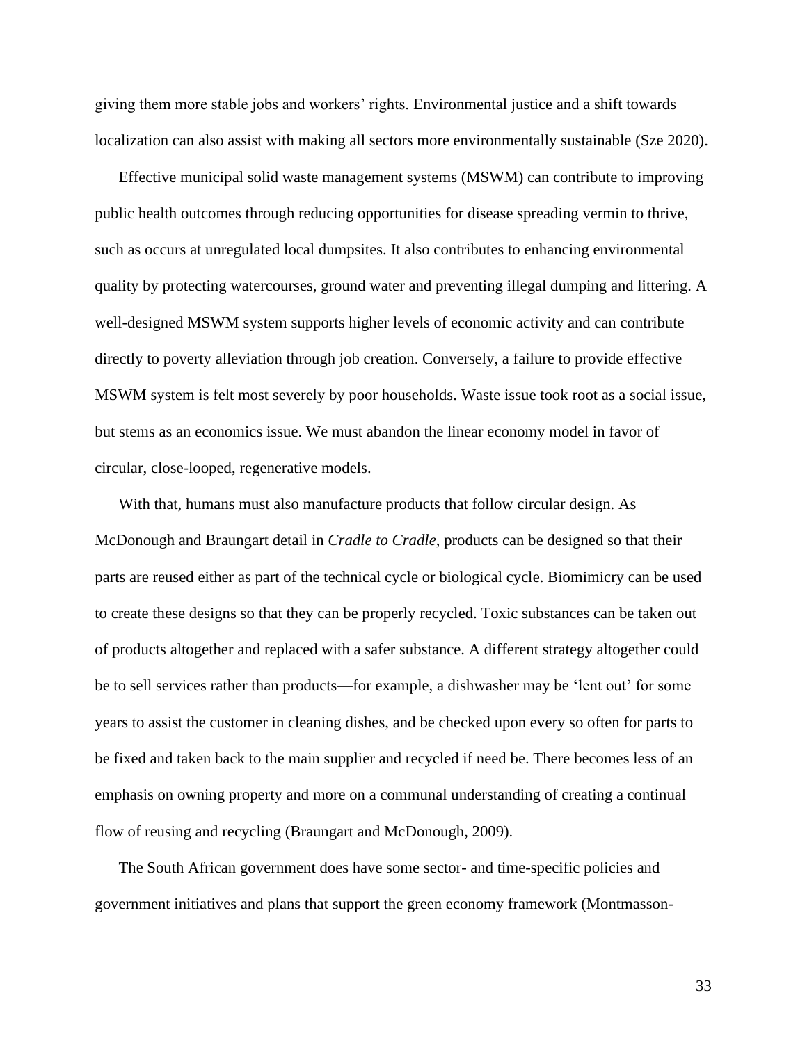giving them more stable jobs and workers' rights. Environmental justice and a shift towards localization can also assist with making all sectors more environmentally sustainable (Sze 2020).

Effective municipal solid waste management systems (MSWM) can contribute to improving public health outcomes through reducing opportunities for disease spreading vermin to thrive, such as occurs at unregulated local dumpsites. It also contributes to enhancing environmental quality by protecting watercourses, ground water and preventing illegal dumping and littering. A well-designed MSWM system supports higher levels of economic activity and can contribute directly to poverty alleviation through job creation. Conversely, a failure to provide effective MSWM system is felt most severely by poor households. Waste issue took root as a social issue, but stems as an economics issue. We must abandon the linear economy model in favor of circular, close-looped, regenerative models.

With that, humans must also manufacture products that follow circular design. As McDonough and Braungart detail in *Cradle to Cradle*, products can be designed so that their parts are reused either as part of the technical cycle or biological cycle. Biomimicry can be used to create these designs so that they can be properly recycled. Toxic substances can be taken out of products altogether and replaced with a safer substance. A different strategy altogether could be to sell services rather than products—for example, a dishwasher may be 'lent out' for some years to assist the customer in cleaning dishes, and be checked upon every so often for parts to be fixed and taken back to the main supplier and recycled if need be. There becomes less of an emphasis on owning property and more on a communal understanding of creating a continual flow of reusing and recycling (Braungart and McDonough, 2009).

The South African government does have some sector- and time-specific policies and government initiatives and plans that support the green economy framework (Montmasson-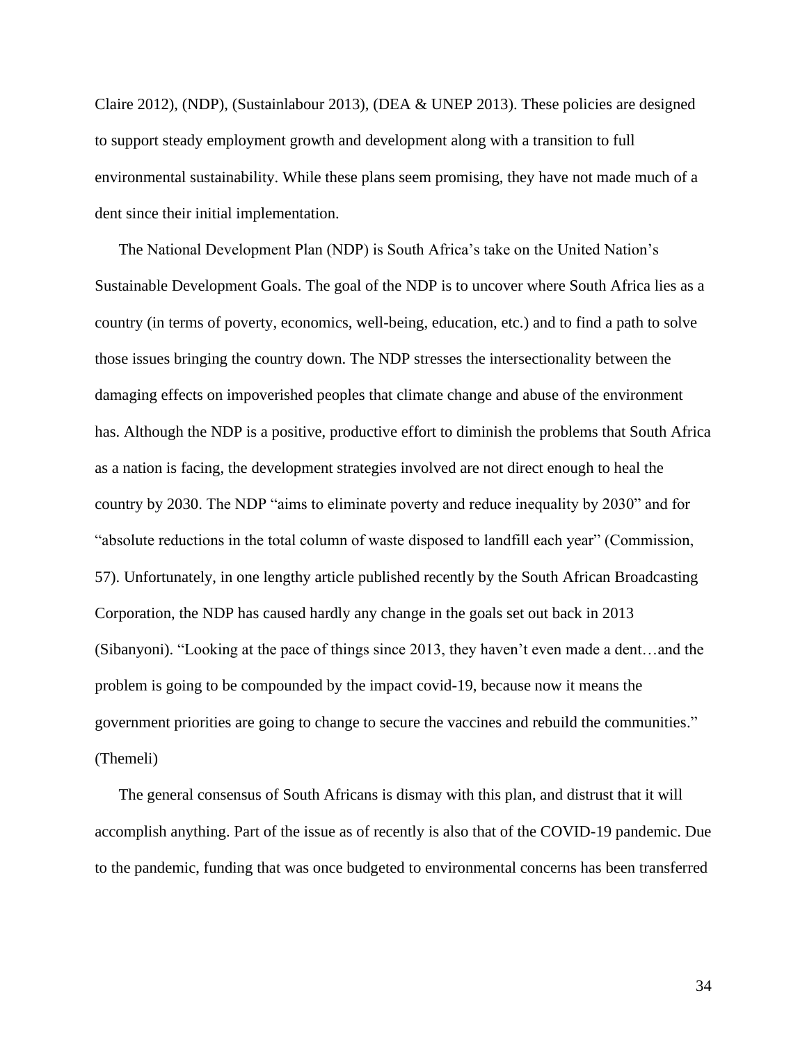Claire 2012), (NDP), (Sustainlabour 2013), (DEA & UNEP 2013). These policies are designed to support steady employment growth and development along with a transition to full environmental sustainability. While these plans seem promising, they have not made much of a dent since their initial implementation.

The National Development Plan (NDP) is South Africa's take on the United Nation's Sustainable Development Goals. The goal of the NDP is to uncover where South Africa lies as a country (in terms of poverty, economics, well-being, education, etc.) and to find a path to solve those issues bringing the country down. The NDP stresses the intersectionality between the damaging effects on impoverished peoples that climate change and abuse of the environment has. Although the NDP is a positive, productive effort to diminish the problems that South Africa as a nation is facing, the development strategies involved are not direct enough to heal the country by 2030. The NDP "aims to eliminate poverty and reduce inequality by 2030" and for "absolute reductions in the total column of waste disposed to landfill each year" (Commission, 57). Unfortunately, in one lengthy article published recently by the South African Broadcasting Corporation, the NDP has caused hardly any change in the goals set out back in 2013 (Sibanyoni). "Looking at the pace of things since 2013, they haven't even made a dent…and the problem is going to be compounded by the impact covid-19, because now it means the government priorities are going to change to secure the vaccines and rebuild the communities." (Themeli)

The general consensus of South Africans is dismay with this plan, and distrust that it will accomplish anything. Part of the issue as of recently is also that of the COVID-19 pandemic. Due to the pandemic, funding that was once budgeted to environmental concerns has been transferred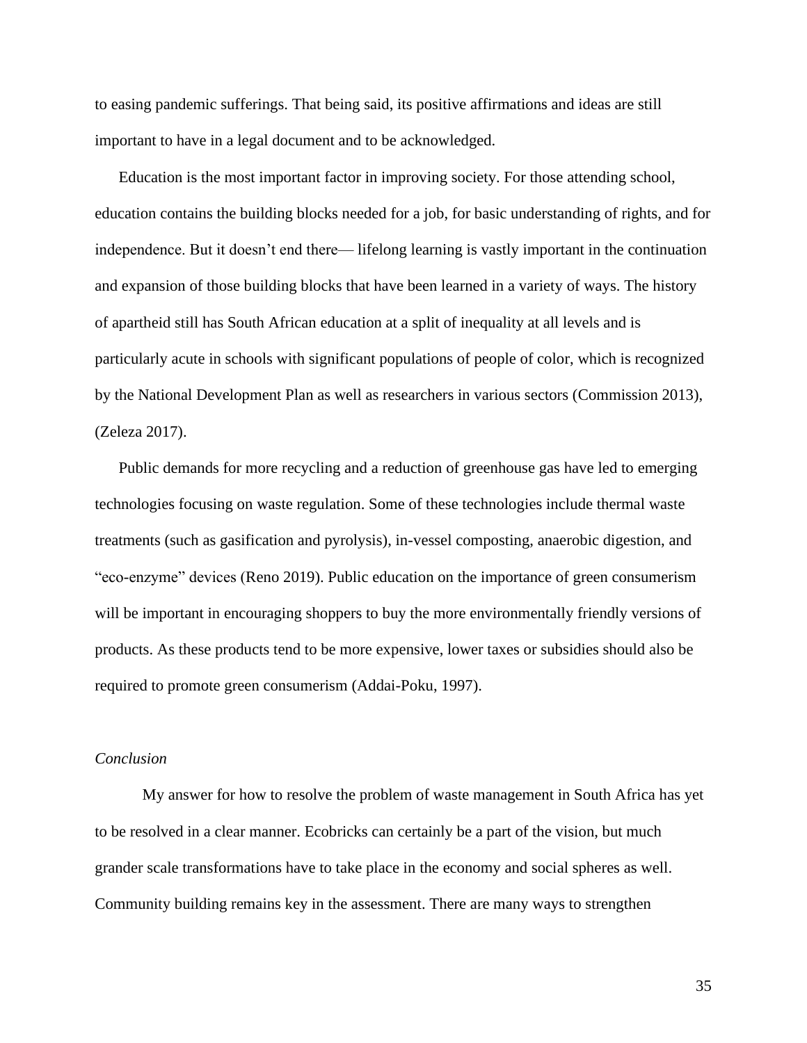to easing pandemic sufferings. That being said, its positive affirmations and ideas are still important to have in a legal document and to be acknowledged.

Education is the most important factor in improving society. For those attending school, education contains the building blocks needed for a job, for basic understanding of rights, and for independence. But it doesn't end there— lifelong learning is vastly important in the continuation and expansion of those building blocks that have been learned in a variety of ways. The history of apartheid still has South African education at a split of inequality at all levels and is particularly acute in schools with significant populations of people of color, which is recognized by the National Development Plan as well as researchers in various sectors (Commission 2013), (Zeleza 2017).

Public demands for more recycling and a reduction of greenhouse gas have led to emerging technologies focusing on waste regulation. Some of these technologies include thermal waste treatments (such as gasification and pyrolysis), in-vessel composting, anaerobic digestion, and "eco-enzyme" devices (Reno 2019). Public education on the importance of green consumerism will be important in encouraging shoppers to buy the more environmentally friendly versions of products. As these products tend to be more expensive, lower taxes or subsidies should also be required to promote green consumerism (Addai-Poku, 1997).

#### *Conclusion*

My answer for how to resolve the problem of waste management in South Africa has yet to be resolved in a clear manner. Ecobricks can certainly be a part of the vision, but much grander scale transformations have to take place in the economy and social spheres as well. Community building remains key in the assessment. There are many ways to strengthen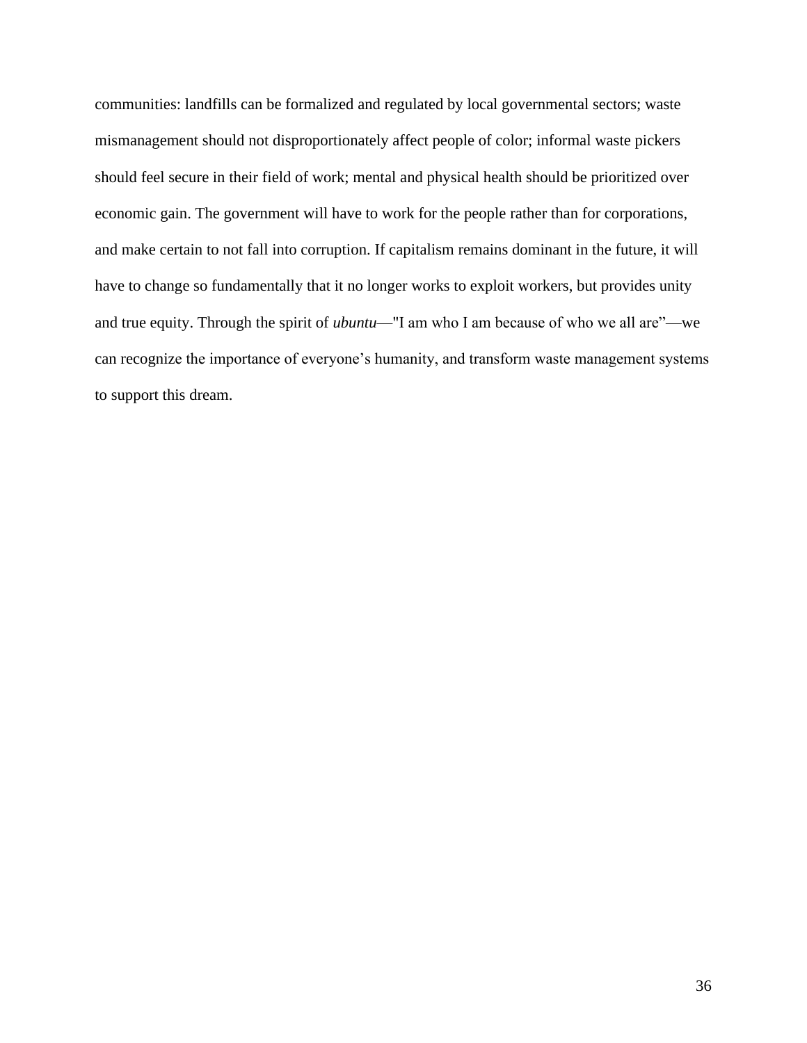communities: landfills can be formalized and regulated by local governmental sectors; waste mismanagement should not disproportionately affect people of color; informal waste pickers should feel secure in their field of work; mental and physical health should be prioritized over economic gain. The government will have to work for the people rather than for corporations, and make certain to not fall into corruption. If capitalism remains dominant in the future, it will have to change so fundamentally that it no longer works to exploit workers, but provides unity and true equity. Through the spirit of *ubuntu*—"I am who I am because of who we all are"—we can recognize the importance of everyone's humanity, and transform waste management systems to support this dream.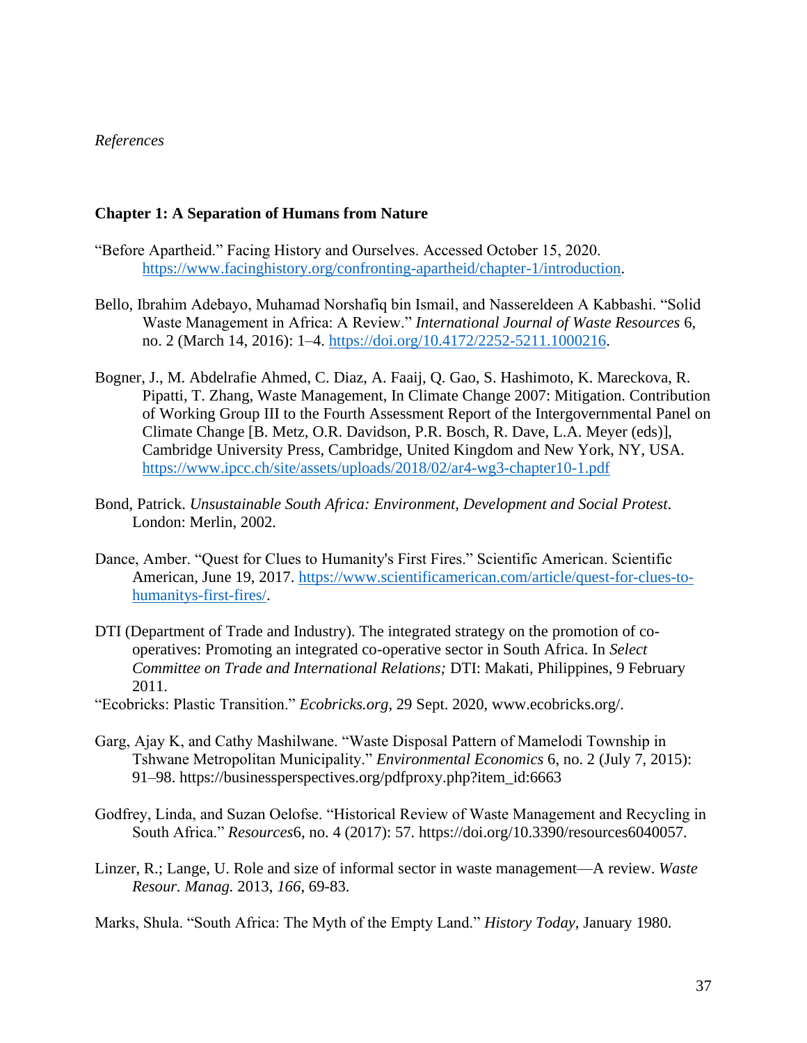## *References*

## **Chapter 1: A Separation of Humans from Nature**

- "Before Apartheid." Facing History and Ourselves. Accessed October 15, 2020. [https://www.facinghistory.org/confronting-apartheid/chapter-1/introduction.](https://www.facinghistory.org/confronting-apartheid/chapter-1/introduction)
- Bello, Ibrahim Adebayo, Muhamad Norshafiq bin Ismail, and Nassereldeen A Kabbashi. "Solid Waste Management in Africa: A Review." *International Journal of Waste Resources* 6, no. 2 (March 14, 2016): 1–4. [https://doi.org/10.4172/2252-5211.1000216.](https://doi.org/10.4172/2252-5211.1000216)
- Bogner, J., M. Abdelrafie Ahmed, C. Diaz, A. Faaij, Q. Gao, S. Hashimoto, K. Mareckova, R. Pipatti, T. Zhang, Waste Management, In Climate Change 2007: Mitigation. Contribution of Working Group III to the Fourth Assessment Report of the Intergovernmental Panel on Climate Change [B. Metz, O.R. Davidson, P.R. Bosch, R. Dave, L.A. Meyer (eds)], Cambridge University Press, Cambridge, United Kingdom and New York, NY, USA. <https://www.ipcc.ch/site/assets/uploads/2018/02/ar4-wg3-chapter10-1.pdf>
- Bond, Patrick. *Unsustainable South Africa: Environment, Development and Social Protest*. London: Merlin, 2002.
- Dance, Amber. "Quest for Clues to Humanity's First Fires." Scientific American. Scientific American, June 19, 2017. [https://www.scientificamerican.com/article/quest-for-clues-to](https://www.scientificamerican.com/article/quest-for-clues-to-humanitys-first-fires/)[humanitys-first-fires/.](https://www.scientificamerican.com/article/quest-for-clues-to-humanitys-first-fires/)
- DTI (Department of Trade and Industry). The integrated strategy on the promotion of cooperatives: Promoting an integrated co-operative sector in South Africa. In *Select Committee on Trade and International Relations;* DTI: Makati, Philippines, 9 February 2011.
- "Ecobricks: Plastic Transition." *Ecobricks.org*, 29 Sept. 2020, www.ecobricks.org/.
- Garg, Ajay K, and Cathy Mashilwane. "Waste Disposal Pattern of Mamelodi Township in Tshwane Metropolitan Municipality." *Environmental Economics* 6, no. 2 (July 7, 2015): 91–98. https://businessperspectives.org/pdfproxy.php?item\_id:6663
- Godfrey, Linda, and Suzan Oelofse. "Historical Review of Waste Management and Recycling in South Africa." *Resources*6, no. 4 (2017): 57. https://doi.org/10.3390/resources6040057.
- Linzer, R.; Lange, U. Role and size of informal sector in waste management—A review. *Waste Resour. Manag.* 2013, *166*, 69-83.

Marks, Shula. "South Africa: The Myth of the Empty Land." *History Today*, January 1980.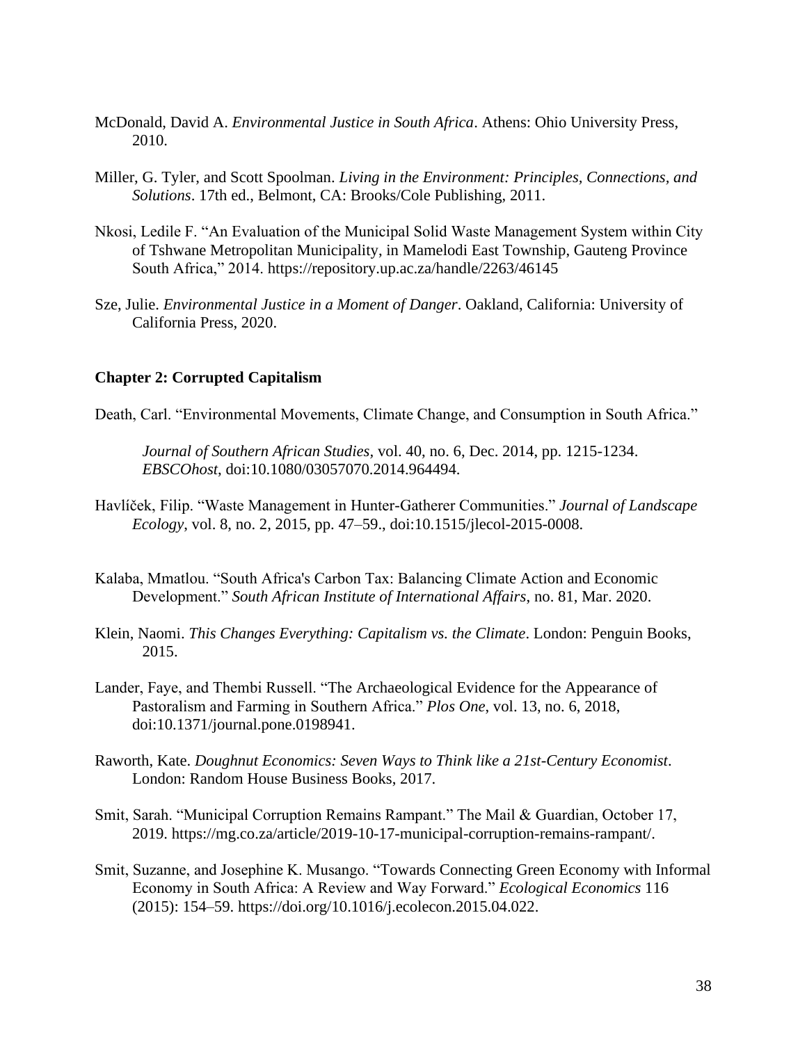- McDonald, David A. *Environmental Justice in South Africa*. Athens: Ohio University Press, 2010.
- Miller, G. Tyler, and Scott Spoolman. *Living in the Environment: Principles, Connections, and Solutions*. 17th ed., Belmont, CA: Brooks/Cole Publishing, 2011.
- Nkosi, Ledile F. "An Evaluation of the Municipal Solid Waste Management System within City of Tshwane Metropolitan Municipality, in Mamelodi East Township, Gauteng Province South Africa," 2014. https://repository.up.ac.za/handle/2263/46145
- Sze, Julie. *Environmental Justice in a Moment of Danger*. Oakland, California: University of California Press, 2020.

## **Chapter 2: Corrupted Capitalism**

Death, Carl. "Environmental Movements, Climate Change, and Consumption in South Africa."

*Journal of Southern African Studies,* vol. 40, no. 6, Dec. 2014, pp. 1215-1234. *EBSCOhost*, doi:10.1080/03057070.2014.964494.

- Havlíček, Filip. "Waste Management in Hunter-Gatherer Communities." *Journal of Landscape Ecology*, vol. 8, no. 2, 2015, pp. 47–59., doi:10.1515/jlecol-2015-0008.
- Kalaba, Mmatlou. "South Africa's Carbon Tax: Balancing Climate Action and Economic Development." *South African Institute of International Affairs*, no. 81, Mar. 2020.
- Klein, Naomi. *This Changes Everything: Capitalism vs. the Climate*. London: Penguin Books, 2015.
- Lander, Faye, and Thembi Russell. "The Archaeological Evidence for the Appearance of Pastoralism and Farming in Southern Africa." *Plos One*, vol. 13, no. 6, 2018, doi:10.1371/journal.pone.0198941.
- Raworth, Kate. *Doughnut Economics: Seven Ways to Think like a 21st-Century Economist*. London: Random House Business Books, 2017.
- Smit, Sarah. "Municipal Corruption Remains Rampant." The Mail & Guardian, October 17, 2019. https://mg.co.za/article/2019-10-17-municipal-corruption-remains-rampant/.
- Smit, Suzanne, and Josephine K. Musango. "Towards Connecting Green Economy with Informal Economy in South Africa: A Review and Way Forward." *Ecological Economics* 116 (2015): 154–59. https://doi.org/10.1016/j.ecolecon.2015.04.022.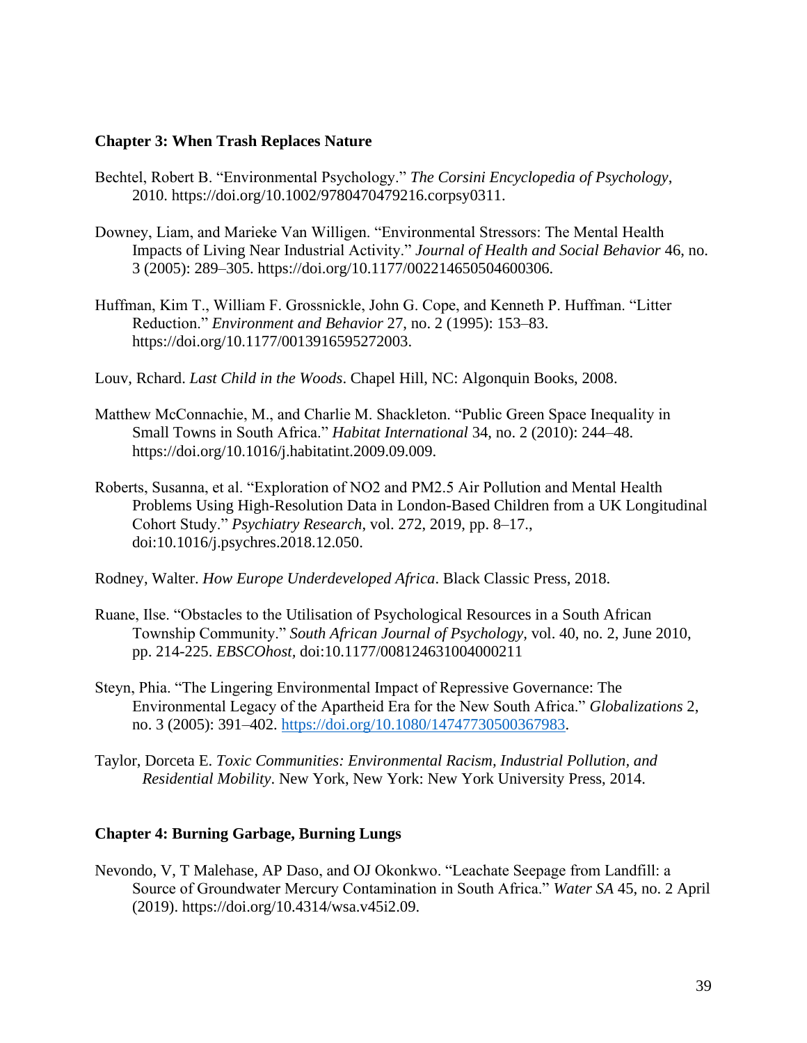## **Chapter 3: When Trash Replaces Nature**

- Bechtel, Robert B. "Environmental Psychology." *The Corsini Encyclopedia of Psychology*, 2010. https://doi.org/10.1002/9780470479216.corpsy0311.
- Downey, Liam, and Marieke Van Willigen. "Environmental Stressors: The Mental Health Impacts of Living Near Industrial Activity." *Journal of Health and Social Behavior* 46, no. 3 (2005): 289–305. https://doi.org/10.1177/002214650504600306.
- Huffman, Kim T., William F. Grossnickle, John G. Cope, and Kenneth P. Huffman. "Litter Reduction." *Environment and Behavior* 27, no. 2 (1995): 153–83. https://doi.org/10.1177/0013916595272003.
- Louv, Rchard. *Last Child in the Woods*. Chapel Hill, NC: Algonquin Books, 2008.
- Matthew McConnachie, M., and Charlie M. Shackleton. "Public Green Space Inequality in Small Towns in South Africa." *Habitat International* 34, no. 2 (2010): 244–48. https://doi.org/10.1016/j.habitatint.2009.09.009.
- Roberts, Susanna, et al. "Exploration of NO2 and PM2.5 Air Pollution and Mental Health Problems Using High-Resolution Data in London-Based Children from a UK Longitudinal Cohort Study." *Psychiatry Research*, vol. 272, 2019, pp. 8–17., doi:10.1016/j.psychres.2018.12.050.
- Rodney, Walter. *How Europe Underdeveloped Africa*. Black Classic Press, 2018.
- Ruane, Ilse. "Obstacles to the Utilisation of Psychological Resources in a South African Township Community." *South African Journal of Psychology,* vol. 40, no. 2, June 2010, pp. 214-225. *EBSCOhost,* doi:10.1177/008124631004000211
- Steyn, Phia. "The Lingering Environmental Impact of Repressive Governance: The Environmental Legacy of the Apartheid Era for the New South Africa." *Globalizations* 2, no. 3 (2005): 391–402. [https://doi.org/10.1080/14747730500367983.](https://doi.org/10.1080/14747730500367983)
- Taylor, Dorceta E. *Toxic Communities: Environmental Racism, Industrial Pollution, and Residential Mobility*. New York, New York: New York University Press, 2014.

## **Chapter 4: Burning Garbage, Burning Lungs**

Nevondo, V, T Malehase, AP Daso, and OJ Okonkwo. "Leachate Seepage from Landfill: a Source of Groundwater Mercury Contamination in South Africa." *Water SA* 45, no. 2 April (2019). https://doi.org/10.4314/wsa.v45i2.09.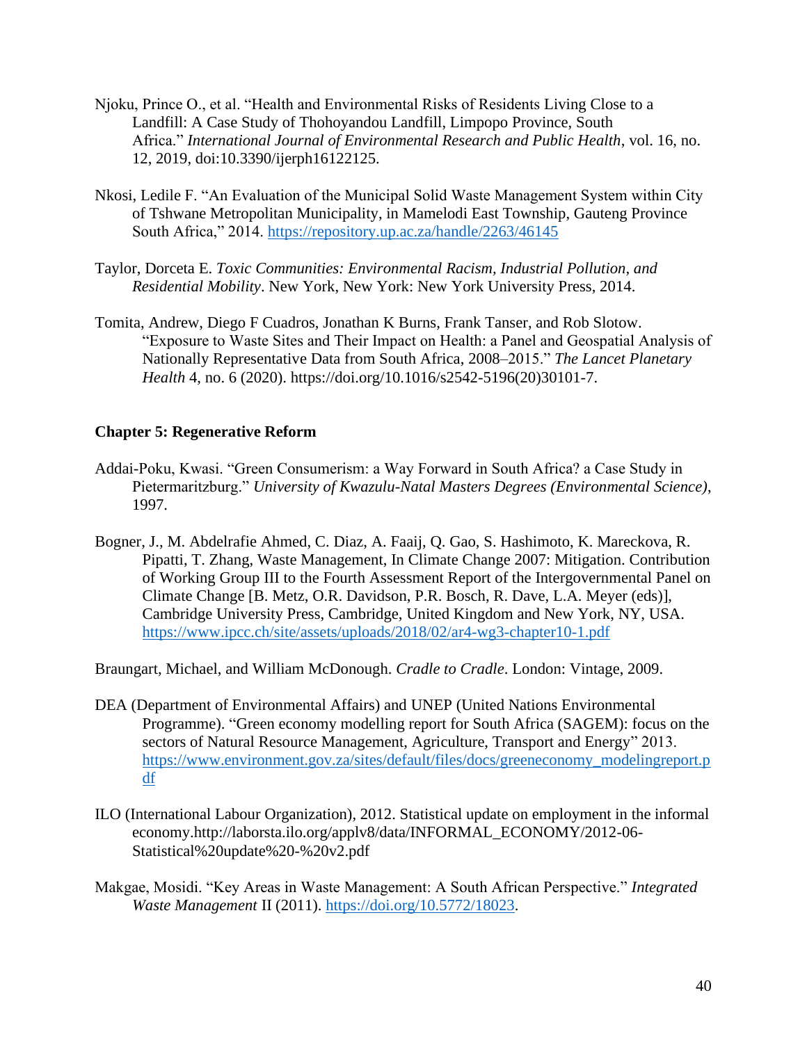- Njoku, Prince O., et al. "Health and Environmental Risks of Residents Living Close to a Landfill: A Case Study of Thohoyandou Landfill, Limpopo Province, South Africa." *International Journal of Environmental Research and Public Health*, vol. 16, no. 12, 2019, doi:10.3390/ijerph16122125.
- Nkosi, Ledile F. "An Evaluation of the Municipal Solid Waste Management System within City of Tshwane Metropolitan Municipality, in Mamelodi East Township, Gauteng Province South Africa," 2014. <https://repository.up.ac.za/handle/2263/46145>
- Taylor, Dorceta E. *Toxic Communities: Environmental Racism, Industrial Pollution, and Residential Mobility*. New York, New York: New York University Press, 2014.
- Tomita, Andrew, Diego F Cuadros, Jonathan K Burns, Frank Tanser, and Rob Slotow. "Exposure to Waste Sites and Their Impact on Health: a Panel and Geospatial Analysis of Nationally Representative Data from South Africa, 2008–2015." *The Lancet Planetary Health* 4, no. 6 (2020). https://doi.org/10.1016/s2542-5196(20)30101-7.

## **Chapter 5: Regenerative Reform**

- Addai-Poku, Kwasi. "Green Consumerism: a Way Forward in South Africa? a Case Study in Pietermaritzburg." *University of Kwazulu-Natal Masters Degrees (Environmental Science)*, 1997.
- Bogner, J., M. Abdelrafie Ahmed, C. Diaz, A. Faaij, Q. Gao, S. Hashimoto, K. Mareckova, R. Pipatti, T. Zhang, Waste Management, In Climate Change 2007: Mitigation. Contribution of Working Group III to the Fourth Assessment Report of the Intergovernmental Panel on Climate Change [B. Metz, O.R. Davidson, P.R. Bosch, R. Dave, L.A. Meyer (eds)], Cambridge University Press, Cambridge, United Kingdom and New York, NY, USA. <https://www.ipcc.ch/site/assets/uploads/2018/02/ar4-wg3-chapter10-1.pdf>
- Braungart, Michael, and William McDonough. *Cradle to Cradle*. London: Vintage, 2009.
- DEA (Department of Environmental Affairs) and UNEP (United Nations Environmental Programme). "Green economy modelling report for South Africa (SAGEM): focus on the sectors of Natural Resource Management, Agriculture, Transport and Energy" 2013. [https://www.environment.gov.za/sites/default/files/docs/greeneconomy\\_modelingreport.p](https://www.environment.gov.za/sites/default/files/docs/greeneconomy_modelingreport.pdf) [df](https://www.environment.gov.za/sites/default/files/docs/greeneconomy_modelingreport.pdf)
- ILO (International Labour Organization), 2012. Statistical update on employment in the informal economy.http://laborsta.ilo.org/applv8/data/INFORMAL\_ECONOMY/2012-06- Statistical%20update%20-%20v2.pdf
- Makgae, Mosidi. "Key Areas in Waste Management: A South African Perspective." *Integrated Waste Management* II (2011). [https://doi.org/10.5772/18023.](https://doi.org/10.5772/18023)